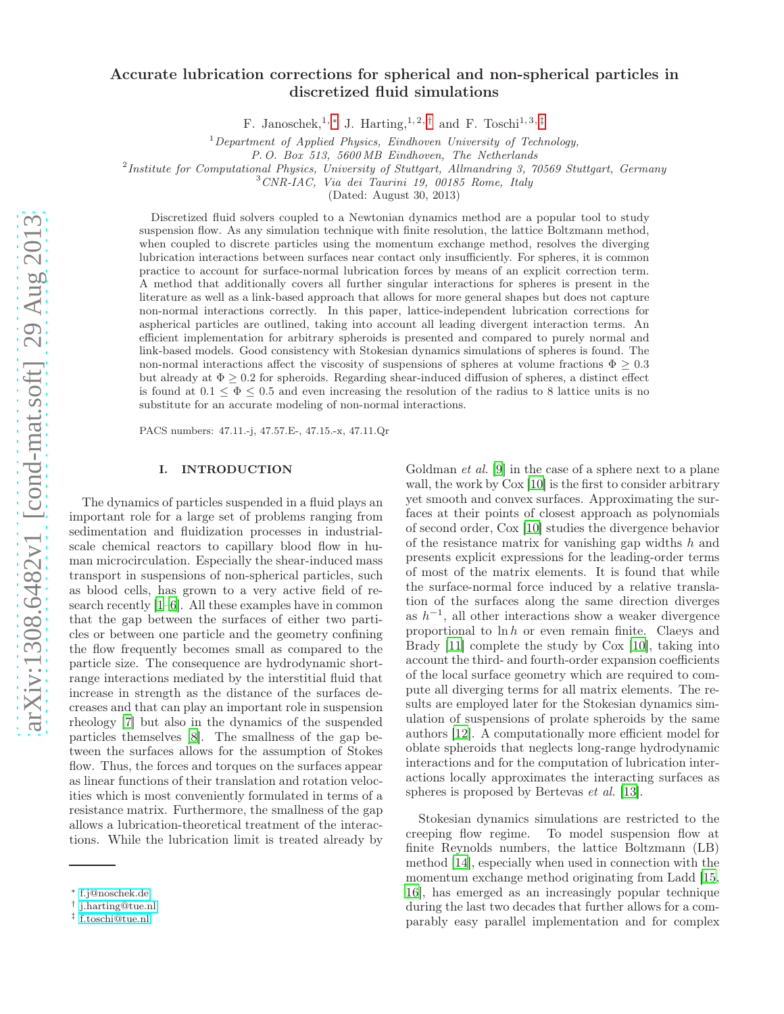# Accurate lubrication corrections for spherical and non-spherical particles in discretized fluid simulations

F. Janoschek,<sup>1,\*</sup> J. Harting,<sup>1,2,[†](#page-0-1)</sup> and F. Toschi<sup>1,3,[‡](#page-0-2)</sup>

<sup>1</sup>Department of Applied Physics, Eindhoven University of Technology,

P. O. Box 513, 5600 MB Eindhoven, The Netherlands

 $^{2}$ Institute for Computational Physics, University of Stuttgart, Allmandring 3, 70569 Stuttgart, Germany

<sup>3</sup>CNR-IAC, Via dei Taurini 19, 00185 Rome, Italy

(Dated: August 30, 2013)

Discretized fluid solvers coupled to a Newtonian dynamics method are a popular tool to study suspension flow. As any simulation technique with finite resolution, the lattice Boltzmann method, when coupled to discrete particles using the momentum exchange method, resolves the diverging lubrication interactions between surfaces near contact only insufficiently. For spheres, it is common practice to account for surface-normal lubrication forces by means of an explicit correction term. A method that additionally covers all further singular interactions for spheres is present in the literature as well as a link-based approach that allows for more general shapes but does not capture non-normal interactions correctly. In this paper, lattice-independent lubrication corrections for aspherical particles are outlined, taking into account all leading divergent interaction terms. An efficient implementation for arbitrary spheroids is presented and compared to purely normal and link-based models. Good consistency with Stokesian dynamics simulations of spheres is found. The non-normal interactions affect the viscosity of suspensions of spheres at volume fractions  $\Phi \geq 0.3$ but already at  $\Phi \geq 0.2$  for spheroids. Regarding shear-induced diffusion of spheres, a distinct effect is found at  $0.1 \leq \Phi \leq 0.5$  and even increasing the resolution of the radius to 8 lattice units is no substitute for an accurate modeling of non-normal interactions.

PACS numbers: 47.11.-j, 47.57.E-, 47.15.-x, 47.11.Qr

#### I. INTRODUCTION

The dynamics of particles suspended in a fluid plays an important role for a large set of problems ranging from sedimentation and fluidization processes in industrialscale chemical reactors to capillary blood flow in human microcirculation. Especially the shear-induced mass transport in suspensions of non-spherical particles, such as blood cells, has grown to a very active field of research recently [\[1](#page-17-0)[–6\]](#page-18-0). All these examples have in common that the gap between the surfaces of either two particles or between one particle and the geometry confining the flow frequently becomes small as compared to the particle size. The consequence are hydrodynamic shortrange interactions mediated by the interstitial fluid that increase in strength as the distance of the surfaces decreases and that can play an important role in suspension rheology [\[7\]](#page-18-1) but also in the dynamics of the suspended particles themselves [\[8](#page-18-2)]. The smallness of the gap between the surfaces allows for the assumption of Stokes flow. Thus, the forces and torques on the surfaces appear as linear functions of their translation and rotation velocities which is most conveniently formulated in terms of a resistance matrix. Furthermore, the smallness of the gap allows a lubrication-theoretical treatment of the interactions. While the lubrication limit is treated already by

Goldman *et al.* [\[9\]](#page-18-3) in the case of a sphere next to a plane wall, the work by Cox [\[10](#page-18-4)] is the first to consider arbitrary yet smooth and convex surfaces. Approximating the surfaces at their points of closest approach as polynomials of second order, Cox [\[10](#page-18-4)] studies the divergence behavior of the resistance matrix for vanishing gap widths  $h$  and presents explicit expressions for the leading-order terms of most of the matrix elements. It is found that while the surface-normal force induced by a relative translation of the surfaces along the same direction diverges as  $h^{-1}$ , all other interactions show a weaker divergence proportional to  $\ln h$  or even remain finite. Claeys and Brady [\[11\]](#page-18-5) complete the study by Cox [\[10](#page-18-4)], taking into account the third- and fourth-order expansion coefficients of the local surface geometry which are required to compute all diverging terms for all matrix elements. The results are employed later for the Stokesian dynamics simulation of suspensions of prolate spheroids by the same authors [\[12\]](#page-18-6). A computationally more efficient model for oblate spheroids that neglects long-range hydrodynamic interactions and for the computation of lubrication interactions locally approximates the interacting surfaces as spheres is proposed by Bertevas et al. [\[13](#page-18-7)].

Stokesian dynamics simulations are restricted to the creeping flow regime. To model suspension flow at finite Reynolds numbers, the lattice Boltzmann (LB) method [\[14\]](#page-18-8), especially when used in connection with the momentum exchange method originating from Ladd [\[15](#page-18-9), [16](#page-18-10)], has emerged as an increasingly popular technique during the last two decades that further allows for a comparably easy parallel implementation and for complex

<span id="page-0-0"></span><sup>∗</sup> [f.j@noschek.de](mailto:f.j@noschek.de)

<span id="page-0-1"></span><sup>†</sup> [j.harting@tue.nl](mailto:j.harting@tue.nl)

<span id="page-0-2"></span><sup>‡</sup> [f.toschi@tue.nl](mailto:f.toschi@tue.nl)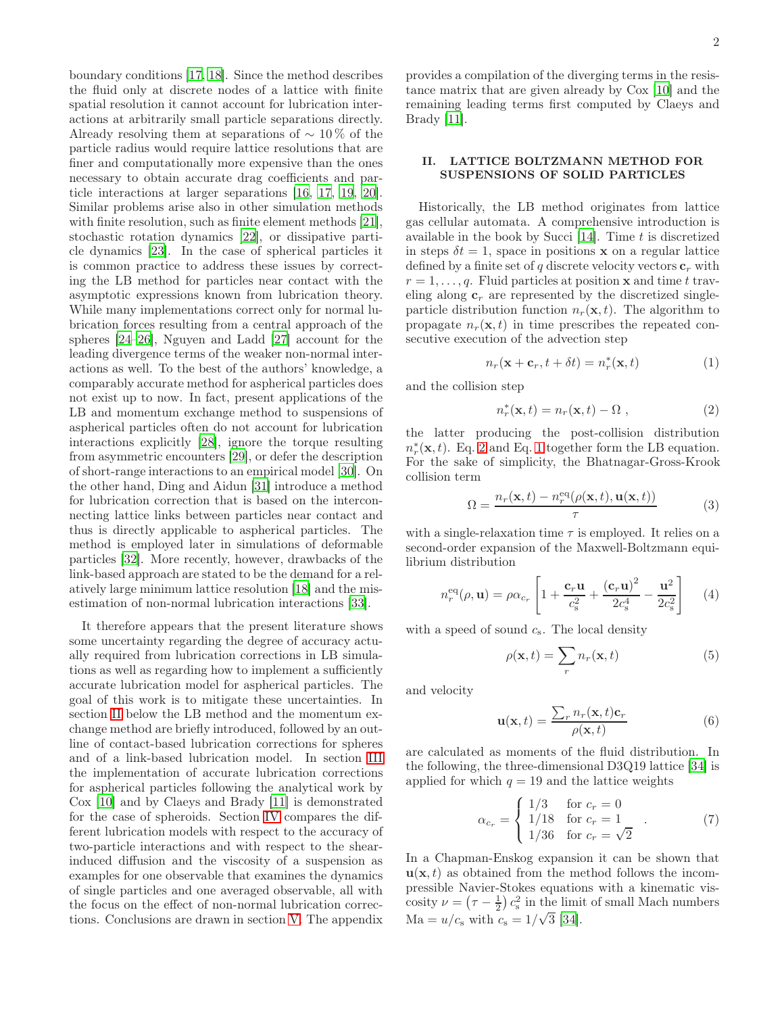boundary conditions [\[17,](#page-18-11) [18](#page-18-12)]. Since the method describes the fluid only at discrete nodes of a lattice with finite spatial resolution it cannot account for lubrication interactions at arbitrarily small particle separations directly. Already resolving them at separations of  $\sim 10\%$  of the particle radius would require lattice resolutions that are finer and computationally more expensive than the ones necessary to obtain accurate drag coefficients and particle interactions at larger separations [\[16,](#page-18-10) [17,](#page-18-11) [19](#page-18-13), [20\]](#page-18-14). Similar problems arise also in other simulation methods with finite resolution, such as finite element methods [\[21\]](#page-18-15), stochastic rotation dynamics [\[22\]](#page-18-16), or dissipative particle dynamics [\[23](#page-18-17)]. In the case of spherical particles it is common practice to address these issues by correcting the LB method for particles near contact with the asymptotic expressions known from lubrication theory. While many implementations correct only for normal lubrication forces resulting from a central approach of the spheres [\[24](#page-18-18)[–26\]](#page-18-19), Nguyen and Ladd [\[27](#page-18-20)] account for the leading divergence terms of the weaker non-normal interactions as well. To the best of the authors' knowledge, a comparably accurate method for aspherical particles does not exist up to now. In fact, present applications of the LB and momentum exchange method to suspensions of aspherical particles often do not account for lubrication interactions explicitly [\[28](#page-18-21)], ignore the torque resulting from asymmetric encounters [\[29](#page-18-22)], or defer the description of short-range interactions to an empirical model [\[30](#page-18-23)]. On the other hand, Ding and Aidun [\[31\]](#page-18-24) introduce a method for lubrication correction that is based on the interconnecting lattice links between particles near contact and thus is directly applicable to aspherical particles. The method is employed later in simulations of deformable particles [\[32\]](#page-18-25). More recently, however, drawbacks of the link-based approach are stated to be the demand for a relatively large minimum lattice resolution [\[18\]](#page-18-12) and the misestimation of non-normal lubrication interactions [\[33\]](#page-18-26).

It therefore appears that the present literature shows some uncertainty regarding the degree of accuracy actually required from lubrication corrections in LB simulations as well as regarding how to implement a sufficiently accurate lubrication model for aspherical particles. The goal of this work is to mitigate these uncertainties. In section [II](#page-1-0) below the LB method and the momentum exchange method are briefly introduced, followed by an outline of contact-based lubrication corrections for spheres and of a link-based lubrication model. In section [III](#page-3-0) the implementation of accurate lubrication corrections for aspherical particles following the analytical work by Cox [\[10\]](#page-18-4) and by Claeys and Brady [\[11\]](#page-18-5) is demonstrated for the case of spheroids. Section [IV](#page-6-0) compares the different lubrication models with respect to the accuracy of two-particle interactions and with respect to the shearinduced diffusion and the viscosity of a suspension as examples for one observable that examines the dynamics of single particles and one averaged observable, all with the focus on the effect of non-normal lubrication corrections. Conclusions are drawn in section [V.](#page-14-0) The appendix

provides a compilation of the diverging terms in the resistance matrix that are given already by Cox [\[10\]](#page-18-4) and the remaining leading terms first computed by Claeys and Brady [\[11\]](#page-18-5).

# <span id="page-1-0"></span>II. LATTICE BOLTZMANN METHOD FOR SUSPENSIONS OF SOLID PARTICLES

Historically, the LB method originates from lattice gas cellular automata. A comprehensive introduction is available in the book by Succi  $[14]$ . Time t is discretized in steps  $\delta t = 1$ , space in positions x on a regular lattice defined by a finite set of q discrete velocity vectors  $\mathbf{c}_r$  with  $r = 1, \ldots, q$ . Fluid particles at position **x** and time t traveling along  $c_r$  are represented by the discretized singleparticle distribution function  $n_r(\mathbf{x}, t)$ . The algorithm to propagate  $n_r(\mathbf{x}, t)$  in time prescribes the repeated consecutive execution of the advection step

<span id="page-1-2"></span>
$$
n_r(\mathbf{x} + \mathbf{c}_r, t + \delta t) = n_r^*(\mathbf{x}, t)
$$
 (1)

and the collision step

<span id="page-1-1"></span>
$$
n_r^*(\mathbf{x}, t) = n_r(\mathbf{x}, t) - \Omega \;, \tag{2}
$$

the latter producing the post-collision distribution  $n_r^*(\mathbf{x}, t)$ . Eq. [2](#page-1-1) and Eq. [1](#page-1-2) together form the LB equation. For the sake of simplicity, the Bhatnagar-Gross-Krook collision term

$$
\Omega = \frac{n_r(\mathbf{x}, t) - n_r^{\text{eq}}(\rho(\mathbf{x}, t), \mathbf{u}(\mathbf{x}, t))}{\tau}
$$
(3)

with a single-relaxation time  $\tau$  is employed. It relies on a second-order expansion of the Maxwell-Boltzmann equilibrium distribution

<span id="page-1-3"></span>
$$
n_r^{\text{eq}}(\rho, \mathbf{u}) = \rho \alpha_{c_r} \left[ 1 + \frac{\mathbf{c}_r \mathbf{u}}{c_s^2} + \frac{(\mathbf{c}_r \mathbf{u})^2}{2c_s^4} - \frac{\mathbf{u}^2}{2c_s^2} \right] \tag{4}
$$

with a speed of sound  $c_s$ . The local density

$$
\rho(\mathbf{x},t) = \sum_{r} n_r(\mathbf{x},t)
$$
\n(5)

and velocity

$$
\mathbf{u}(\mathbf{x},t) = \frac{\sum_{r} n_r(\mathbf{x},t) \mathbf{c}_r}{\rho(\mathbf{x},t)}
$$
(6)

are calculated as moments of the fluid distribution. In the following, the three-dimensional D3Q19 lattice [\[34\]](#page-18-27) is applied for which  $q = 19$  and the lattice weights

$$
\alpha_{c_r} = \begin{cases} 1/3 & \text{for } c_r = 0 \\ 1/18 & \text{for } c_r = 1 \\ 1/36 & \text{for } c_r = \sqrt{2} \end{cases} . \tag{7}
$$

In a Chapman-Enskog expansion it can be shown that  $\mathbf{u}(\mathbf{x}, t)$  as obtained from the method follows the incompressible Navier-Stokes equations with a kinematic viscosity  $\nu = (\tau - \frac{1}{2}) c_s^2$  in the limit of small Mach numbers  $\text{Ma} = u/c_s \text{ with } c_s = 1/\sqrt{3} \text{ [34]}.$  $\text{Ma} = u/c_s \text{ with } c_s = 1/\sqrt{3} \text{ [34]}.$  $\text{Ma} = u/c_s \text{ with } c_s = 1/\sqrt{3} \text{ [34]}.$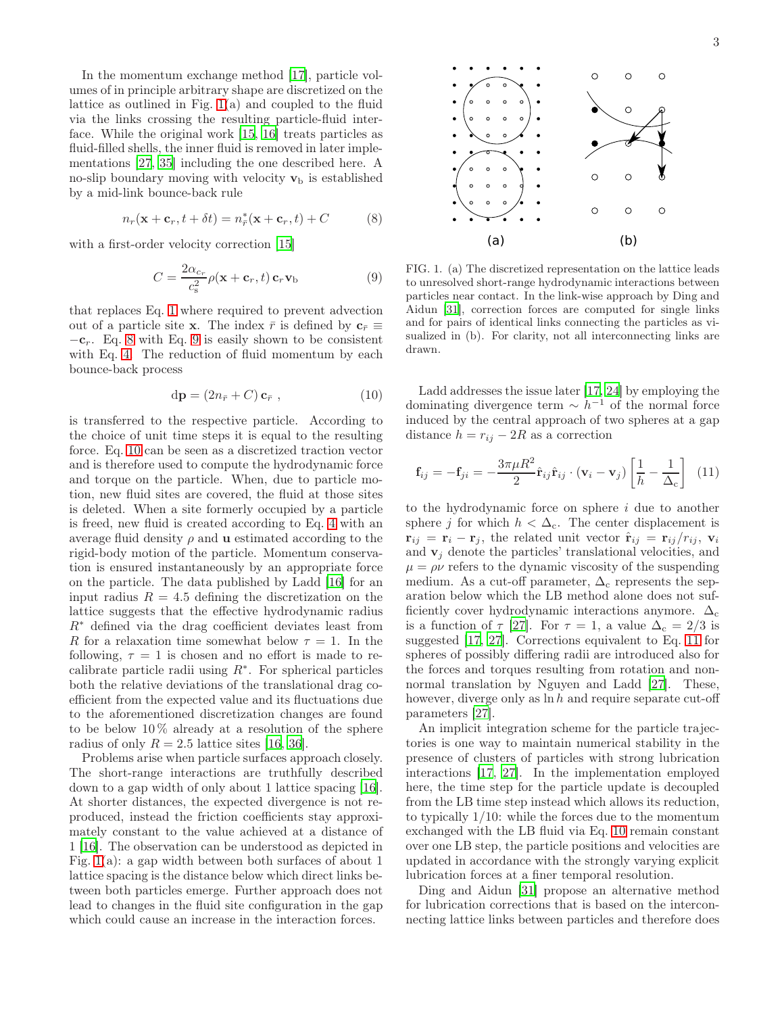In the momentum exchange method [\[17\]](#page-18-11), particle volumes of in principle arbitrary shape are discretized on the lattice as outlined in Fig. [1\(](#page-2-0)a) and coupled to the fluid via the links crossing the resulting particle-fluid interface. While the original work [\[15,](#page-18-9) [16](#page-18-10)] treats particles as fluid-filled shells, the inner fluid is removed in later implementations [\[27](#page-18-20), [35\]](#page-18-28) including the one described here. A no-slip boundary moving with velocity  $\mathbf{v}_b$  is established by a mid-link bounce-back rule

<span id="page-2-1"></span>
$$
n_r(\mathbf{x} + \mathbf{c}_r, t + \delta t) = n^*_{\overline{r}}(\mathbf{x} + \mathbf{c}_r, t) + C \tag{8}
$$

with a first-order velocity correction [\[15\]](#page-18-9)

<span id="page-2-2"></span>
$$
C = \frac{2\alpha_{c_r}}{c_s^2} \rho(\mathbf{x} + \mathbf{c}_r, t) \mathbf{c}_r \mathbf{v}_b
$$
 (9)

that replaces Eq. [1](#page-1-2) where required to prevent advection out of a particle site x. The index  $\bar{r}$  is defined by  $c_{\bar{r}} \equiv$  $-c_r$ . Eq. [8](#page-2-1) with Eq. [9](#page-2-2) is easily shown to be consistent with Eq. [4.](#page-1-3) The reduction of fluid momentum by each bounce-back process

<span id="page-2-3"></span>
$$
\mathrm{d}\mathbf{p} = (2n_{\bar{r}} + C) \mathbf{c}_{\bar{r}} ,\qquad (10)
$$

is transferred to the respective particle. According to the choice of unit time steps it is equal to the resulting force. Eq. [10](#page-2-3) can be seen as a discretized traction vector and is therefore used to compute the hydrodynamic force and torque on the particle. When, due to particle motion, new fluid sites are covered, the fluid at those sites is deleted. When a site formerly occupied by a particle is freed, new fluid is created according to Eq. [4](#page-1-3) with an average fluid density  $\rho$  and **u** estimated according to the rigid-body motion of the particle. Momentum conservation is ensured instantaneously by an appropriate force on the particle. The data published by Ladd [\[16\]](#page-18-10) for an input radius  $R = 4.5$  defining the discretization on the lattice suggests that the effective hydrodynamic radius R<sup>∗</sup> defined via the drag coefficient deviates least from R for a relaxation time somewhat below  $\tau = 1$ . In the following,  $\tau = 1$  is chosen and no effort is made to recalibrate particle radii using  $R^*$ . For spherical particles both the relative deviations of the translational drag coefficient from the expected value and its fluctuations due to the aforementioned discretization changes are found to be below  $10\%$  already at a resolution of the sphere radius of only  $R = 2.5$  lattice sites [\[16,](#page-18-10) [36\]](#page-18-29).

Problems arise when particle surfaces approach closely. The short-range interactions are truthfully described down to a gap width of only about 1 lattice spacing [\[16\]](#page-18-10). At shorter distances, the expected divergence is not reproduced, instead the friction coefficients stay approximately constant to the value achieved at a distance of 1 [\[16\]](#page-18-10). The observation can be understood as depicted in Fig. [1\(](#page-2-0)a): a gap width between both surfaces of about 1 lattice spacing is the distance below which direct links between both particles emerge. Further approach does not lead to changes in the fluid site configuration in the gap which could cause an increase in the interaction forces.



<span id="page-2-0"></span>FIG. 1. (a) The discretized representation on the lattice leads to unresolved short-range hydrodynamic interactions between particles near contact. In the link-wise approach by Ding and Aidun [\[31](#page-18-24)], correction forces are computed for single links and for pairs of identical links connecting the particles as visualized in (b). For clarity, not all interconnecting links are drawn.

Ladd addresses the issue later [\[17,](#page-18-11) [24\]](#page-18-18) by employing the dominating divergence term  $\sim h^{-1}$  of the normal force induced by the central approach of two spheres at a gap distance  $h = r_{ij} - 2R$  as a correction

<span id="page-2-4"></span>
$$
\mathbf{f}_{ij} = -\mathbf{f}_{ji} = -\frac{3\pi\mu R^2}{2}\hat{\mathbf{r}}_{ij}\hat{\mathbf{r}}_{ij}\cdot(\mathbf{v}_i - \mathbf{v}_j)\left[\frac{1}{h} - \frac{1}{\Delta_c}\right]
$$
(11)

to the hydrodynamic force on sphere  $i$  due to another sphere j for which  $h < \Delta_c$ . The center displacement is  $\mathbf{r}_{ij} = \mathbf{r}_i - \mathbf{r}_j$ , the related unit vector  $\hat{\mathbf{r}}_{ij} = \mathbf{r}_{ij}/r_{ij}$ ,  $\mathbf{v}_i$ and  $v_i$  denote the particles' translational velocities, and  $\mu = \rho \nu$  refers to the dynamic viscosity of the suspending medium. As a cut-off parameter,  $\Delta_c$  represents the separation below which the LB method alone does not sufficiently cover hydrodynamic interactions anymore.  $\Delta_c$ is a function of  $\tau$  [\[27\]](#page-18-20). For  $\tau = 1$ , a value  $\Delta_c = 2/3$  is suggested [\[17](#page-18-11), [27\]](#page-18-20). Corrections equivalent to Eq. [11](#page-2-4) for spheres of possibly differing radii are introduced also for the forces and torques resulting from rotation and nonnormal translation by Nguyen and Ladd [\[27\]](#page-18-20). These, however, diverge only as  $\ln h$  and require separate cut-off parameters [\[27](#page-18-20)].

An implicit integration scheme for the particle trajectories is one way to maintain numerical stability in the presence of clusters of particles with strong lubrication interactions [\[17](#page-18-11), [27\]](#page-18-20). In the implementation employed here, the time step for the particle update is decoupled from the LB time step instead which allows its reduction, to typically 1/10: while the forces due to the momentum exchanged with the LB fluid via Eq. [10](#page-2-3) remain constant over one LB step, the particle positions and velocities are updated in accordance with the strongly varying explicit lubrication forces at a finer temporal resolution.

Ding and Aidun [\[31](#page-18-24)] propose an alternative method for lubrication corrections that is based on the interconnecting lattice links between particles and therefore does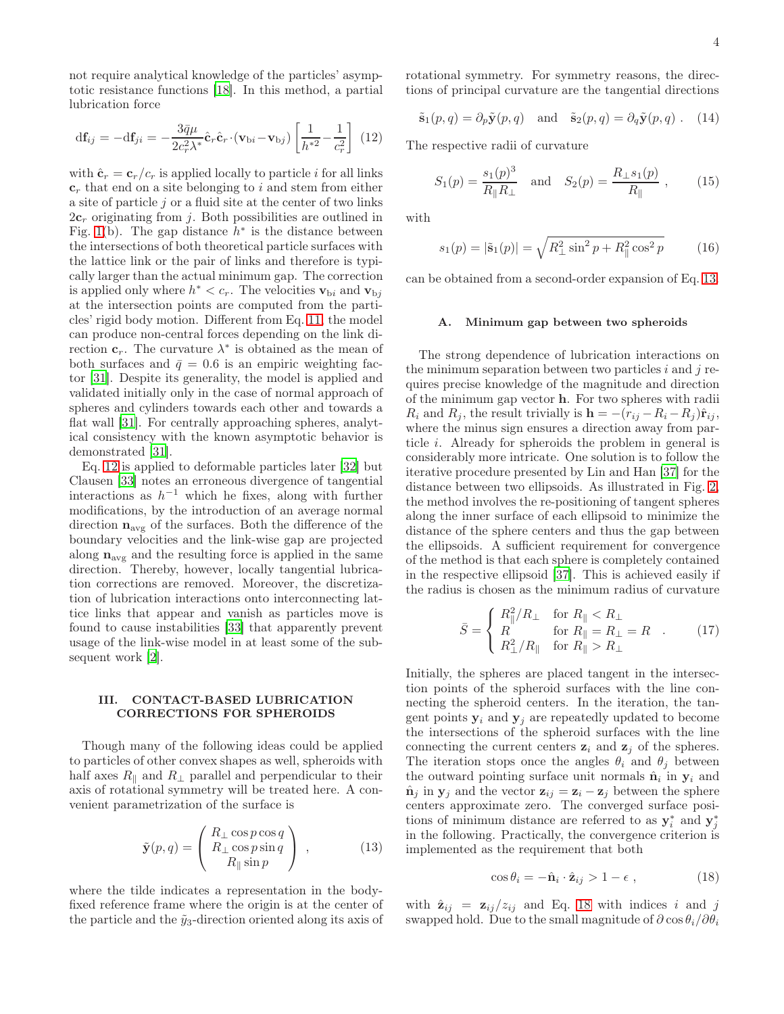not require analytical knowledge of the particles' asymptotic resistance functions [\[18](#page-18-12)]. In this method, a partial lubrication force

<span id="page-3-1"></span>
$$
\mathrm{d}\mathbf{f}_{ij} = -\mathrm{d}\mathbf{f}_{ji} = -\frac{3\bar{q}\mu}{2c_r^2 \lambda^*} \hat{\mathbf{c}}_r \cdot (\mathbf{v}_{\mathrm{b}i} - \mathbf{v}_{\mathrm{b}j}) \left[ \frac{1}{h^{*2}} - \frac{1}{c_r^2} \right] (12)
$$

with  $\hat{\mathbf{c}}_r = \mathbf{c}_r/c_r$  is applied locally to particle i for all links  $c<sub>r</sub>$  that end on a site belonging to i and stem from either a site of particle  $j$  or a fluid site at the center of two links  $2c_r$  originating from j. Both possibilities are outlined in Fig. [1\(](#page-2-0)b). The gap distance  $h^*$  is the distance between the intersections of both theoretical particle surfaces with the lattice link or the pair of links and therefore is typically larger than the actual minimum gap. The correction is applied only where  $h^* < c_r$ . The velocities  $\mathbf{v}_{\text{b}i}$  and  $\mathbf{v}_{\text{b}j}$ at the intersection points are computed from the particles' rigid body motion. Different from Eq. [11,](#page-2-4) the model can produce non-central forces depending on the link direction  $\mathbf{c}_r$ . The curvature  $\lambda^*$  is obtained as the mean of both surfaces and  $\bar{q} = 0.6$  is an empiric weighting factor [\[31\]](#page-18-24). Despite its generality, the model is applied and validated initially only in the case of normal approach of spheres and cylinders towards each other and towards a flat wall [\[31](#page-18-24)]. For centrally approaching spheres, analytical consistency with the known asymptotic behavior is demonstrated [\[31](#page-18-24)].

Eq. [12](#page-3-1) is applied to deformable particles later [\[32](#page-18-25)] but Clausen [\[33\]](#page-18-26) notes an erroneous divergence of tangential interactions as  $h^{-1}$  which he fixes, along with further modifications, by the introduction of an average normal direction  $n_{\text{avg}}$  of the surfaces. Both the difference of the boundary velocities and the link-wise gap are projected along  $\mathbf{n}_\mathrm{avg}$  and the resulting force is applied in the same direction. Thereby, however, locally tangential lubrication corrections are removed. Moreover, the discretization of lubrication interactions onto interconnecting lattice links that appear and vanish as particles move is found to cause instabilities [\[33](#page-18-26)] that apparently prevent usage of the link-wise model in at least some of the subsequent work [\[2](#page-17-1)].

### <span id="page-3-0"></span>III. CONTACT-BASED LUBRICATION CORRECTIONS FOR SPHEROIDS

Though many of the following ideas could be applied to particles of other convex shapes as well, spheroids with half axes  $R_{\parallel}$  and  $R_{\perp}$  parallel and perpendicular to their axis of rotational symmetry will be treated here. A convenient parametrization of the surface is

<span id="page-3-2"></span>
$$
\tilde{\mathbf{y}}(p,q) = \begin{pmatrix} R_{\perp} \cos p \cos q \\ R_{\perp} \cos p \sin q \\ R_{\parallel} \sin p \end{pmatrix} , \qquad (13)
$$

where the tilde indicates a representation in the bodyfixed reference frame where the origin is at the center of the particle and the  $\tilde{y}_3$ -direction oriented along its axis of rotational symmetry. For symmetry reasons, the directions of principal curvature are the tangential directions

<span id="page-3-6"></span>
$$
\tilde{\mathbf{s}}_1(p,q) = \partial_p \tilde{\mathbf{y}}(p,q)
$$
 and  $\tilde{\mathbf{s}}_2(p,q) = \partial_q \tilde{\mathbf{y}}(p,q)$ . (14)

The respective radii of curvature

<span id="page-3-5"></span>
$$
S_1(p) = \frac{s_1(p)^3}{R_{\parallel}R_{\perp}}
$$
 and  $S_2(p) = \frac{R_{\perp}s_1(p)}{R_{\parallel}}$ , (15)

with

$$
s_1(p) = |\tilde{\mathbf{s}}_1(p)| = \sqrt{R_{\perp}^2 \sin^2 p + R_{\parallel}^2 \cos^2 p} \tag{16}
$$

can be obtained from a second-order expansion of Eq. [13.](#page-3-2)

### A. Minimum gap between two spheroids

The strong dependence of lubrication interactions on the minimum separation between two particles  $i$  and  $j$  requires precise knowledge of the magnitude and direction of the minimum gap vector h. For two spheres with radii  $R_i$  and  $R_j$ , the result trivially is  $\mathbf{h} = -(r_{ij} - R_i - R_j)\hat{\mathbf{r}}_{ij}$ , where the minus sign ensures a direction away from particle i. Already for spheroids the problem in general is considerably more intricate. One solution is to follow the iterative procedure presented by Lin and Han [\[37](#page-18-30)] for the distance between two ellipsoids. As illustrated in Fig. [2,](#page-4-0) the method involves the re-positioning of tangent spheres along the inner surface of each ellipsoid to minimize the distance of the sphere centers and thus the gap between the ellipsoids. A sufficient requirement for convergence of the method is that each sphere is completely contained in the respective ellipsoid [\[37\]](#page-18-30). This is achieved easily if the radius is chosen as the minimum radius of curvature

<span id="page-3-4"></span>
$$
\bar{S} = \begin{cases}\nR_{\parallel}^2/R_{\perp} & \text{for } R_{\parallel} < R_{\perp} \\
R & \text{for } R_{\parallel} = R_{\perp} = R \\
R_{\perp}^2/R_{\parallel} & \text{for } R_{\parallel} > R_{\perp}\n\end{cases} \tag{17}
$$

Initially, the spheres are placed tangent in the intersection points of the spheroid surfaces with the line connecting the spheroid centers. In the iteration, the tangent points  $y_i$  and  $y_j$  are repeatedly updated to become the intersections of the spheroid surfaces with the line connecting the current centers  $z_i$  and  $z_j$  of the spheres. The iteration stops once the angles  $\theta_i$  and  $\theta_j$  between the outward pointing surface unit normals  $\hat{\mathbf{n}}_i$  in  $\mathbf{y}_i$  and  $\hat{\mathbf{n}}_j$  in  $\mathbf{y}_j$  and the vector  $\mathbf{z}_{ij} = \mathbf{z}_i - \mathbf{z}_j$  between the sphere centers approximate zero. The converged surface positions of minimum distance are referred to as  $y_i^*$  and  $y_j^*$ in the following. Practically, the convergence criterion is implemented as the requirement that both

<span id="page-3-3"></span>
$$
\cos \theta_i = -\hat{\mathbf{n}}_i \cdot \hat{\mathbf{z}}_{ij} > 1 - \epsilon \tag{18}
$$

with  $\hat{\mathbf{z}}_{ij} = \mathbf{z}_{ij}/z_{ij}$  and Eq. [18](#page-3-3) with indices i and j swapped hold. Due to the small magnitude of  $\partial \cos \theta_i / \partial \theta_i$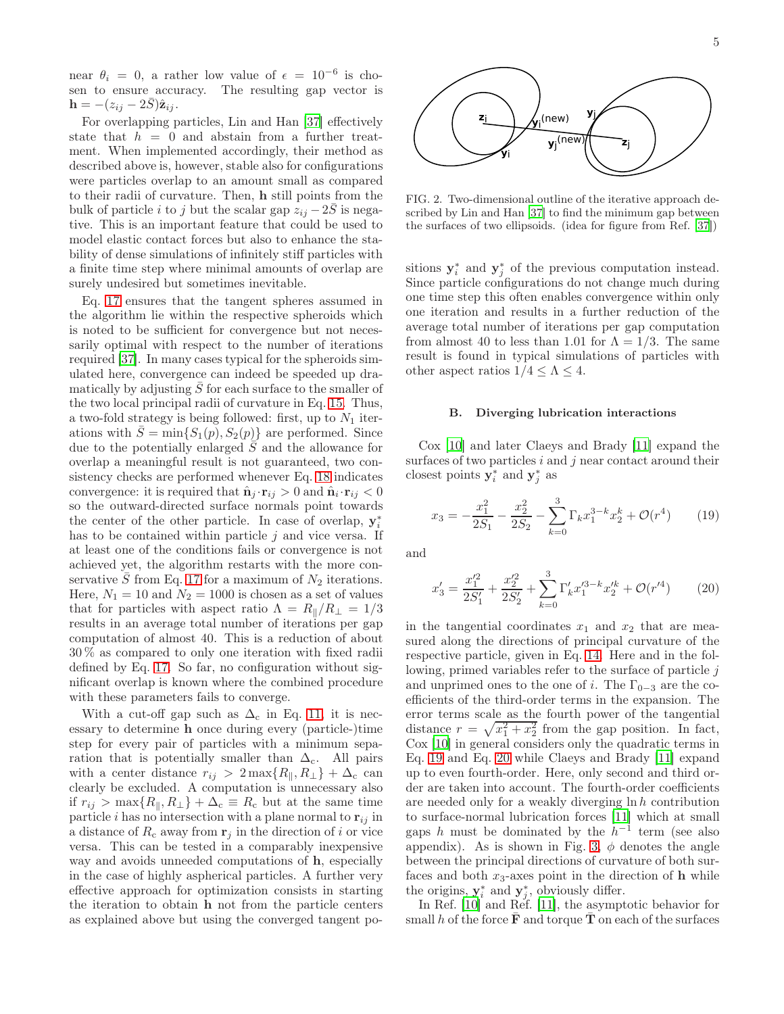near  $\theta_i = 0$ , a rather low value of  $\epsilon = 10^{-6}$  is chosen to ensure accuracy. The resulting gap vector is  $\mathbf{h} = -(z_{ij} - 2\bar{S})\hat{\mathbf{z}}_{ij}.$ 

For overlapping particles, Lin and Han [\[37\]](#page-18-30) effectively state that  $h = 0$  and abstain from a further treatment. When implemented accordingly, their method as described above is, however, stable also for configurations were particles overlap to an amount small as compared to their radii of curvature. Then, h still points from the bulk of particle i to j but the scalar gap  $z_{ij} - 2\overline{S}$  is negative. This is an important feature that could be used to model elastic contact forces but also to enhance the stability of dense simulations of infinitely stiff particles with a finite time step where minimal amounts of overlap are surely undesired but sometimes inevitable.

Eq. [17](#page-3-4) ensures that the tangent spheres assumed in the algorithm lie within the respective spheroids which is noted to be sufficient for convergence but not necessarily optimal with respect to the number of iterations required [\[37\]](#page-18-30). In many cases typical for the spheroids simulated here, convergence can indeed be speeded up dramatically by adjusting  $\overline{S}$  for each surface to the smaller of the two local principal radii of curvature in Eq. [15.](#page-3-5) Thus, a two-fold strategy is being followed: first, up to  $N_1$  iterations with  $\overline{S} = \min\{S_1(p), S_2(p)\}\$ are performed. Since due to the potentially enlarged  $\overline{S}$  and the allowance for overlap a meaningful result is not guaranteed, two consistency checks are performed whenever Eq. [18](#page-3-3) indicates convergence: it is required that  $\hat{\mathbf{n}}_j \cdot \mathbf{r}_{ij} > 0$  and  $\hat{\mathbf{n}}_i \cdot \mathbf{r}_{ij} < 0$ so the outward-directed surface normals point towards the center of the other particle. In case of overlap,  $y_i^*$ has to be contained within particle  $j$  and vice versa. If at least one of the conditions fails or convergence is not achieved yet, the algorithm restarts with the more con-servative S from Eq. [17](#page-3-4) for a maximum of  $N_2$  iterations. Here,  $N_1 = 10$  and  $N_2 = 1000$  is chosen as a set of values that for particles with aspect ratio  $\Lambda = R_{\parallel}/R_{\perp} = 1/3$ results in an average total number of iterations per gap computation of almost 40. This is a reduction of about 30 % as compared to only one iteration with fixed radii defined by Eq. [17.](#page-3-4) So far, no configuration without significant overlap is known where the combined procedure with these parameters fails to converge.

With a cut-off gap such as  $\Delta_c$  in Eq. [11,](#page-2-4) it is necessary to determine h once during every (particle-)time step for every pair of particles with a minimum separation that is potentially smaller than  $\Delta_c$ . All pairs with a center distance  $r_{ij} > 2 \max\{R_{\parallel}, R_{\perp}\} + \Delta_c$  can clearly be excluded. A computation is unnecessary also if  $r_{ij} > \max\{R_{\parallel}, R_{\perp}\} + \Delta_{\rm c} \equiv R_{\rm c}$  but at the same time particle *i* has no intersection with a plane normal to  $r_{ij}$  in a distance of  $R_c$  away from  $\mathbf{r}_i$  in the direction of i or vice versa. This can be tested in a comparably inexpensive way and avoids unneeded computations of h, especially in the case of highly aspherical particles. A further very effective approach for optimization consists in starting the iteration to obtain h not from the particle centers as explained above but using the converged tangent po-



5



<span id="page-4-0"></span>FIG. 2. Two-dimensional outline of the iterative approach described by Lin and Han [\[37\]](#page-18-30) to find the minimum gap between the surfaces of two ellipsoids. (idea for figure from Ref. [\[37](#page-18-30)])

sitions  $y_i^*$  and  $y_j^*$  of the previous computation instead. Since particle configurations do not change much during one time step this often enables convergence within only one iteration and results in a further reduction of the average total number of iterations per gap computation from almost 40 to less than 1.01 for  $\Lambda = 1/3$ . The same result is found in typical simulations of particles with other aspect ratios  $1/4 \leq \Lambda \leq 4$ .

### B. Diverging lubrication interactions

Cox [\[10\]](#page-18-4) and later Claeys and Brady [\[11\]](#page-18-5) expand the surfaces of two particles  $i$  and  $j$  near contact around their closest points  $y_i^*$  and  $y_j^*$  as

<span id="page-4-1"></span>
$$
x_3 = -\frac{x_1^2}{2S_1} - \frac{x_2^2}{2S_2} - \sum_{k=0}^3 \Gamma_k x_1^{3-k} x_2^k + \mathcal{O}(r^4) \qquad (19)
$$

and

<span id="page-4-2"></span>
$$
x_3' = \frac{x_1'^2}{2S_1'} + \frac{x_2'^2}{2S_2'} + \sum_{k=0}^3 \Gamma_k' x_1'^{3-k} x_2'^k + \mathcal{O}(r'^4) \tag{20}
$$

in the tangential coordinates  $x_1$  and  $x_2$  that are measured along the directions of principal curvature of the respective particle, given in Eq. [14.](#page-3-6) Here and in the following, primed variables refer to the surface of particle  $j$ and unprimed ones to the one of i. The  $\Gamma_{0-3}$  are the coefficients of the third-order terms in the expansion. The error terms scale as the fourth power of the tangential distance  $r = \sqrt{x_1^2 + x_2^2}$  from the gap position. In fact, Cox [\[10\]](#page-18-4) in general considers only the quadratic terms in Eq. [19](#page-4-1) and Eq. [20](#page-4-2) while Claeys and Brady [\[11](#page-18-5)] expand up to even fourth-order. Here, only second and third order are taken into account. The fourth-order coefficients are needed only for a weakly diverging  $\ln h$  contribution to surface-normal lubrication forces [\[11\]](#page-18-5) which at small gaps h must be dominated by the  $h^{-1}$  term (see also appendix). As is shown in Fig. [3,](#page-5-0)  $\phi$  denotes the angle between the principal directions of curvature of both surfaces and both  $x_3$ -axes point in the direction of h while the origins,  $y_i^*$  and  $y_j^*$ , obviously differ.

In Ref. [\[10](#page-18-4)] and Ref. [\[11](#page-18-5)], the asymptotic behavior for small h of the force  $\bar{\mathbf{F}}$  and torque  $\bar{\mathbf{T}}$  on each of the surfaces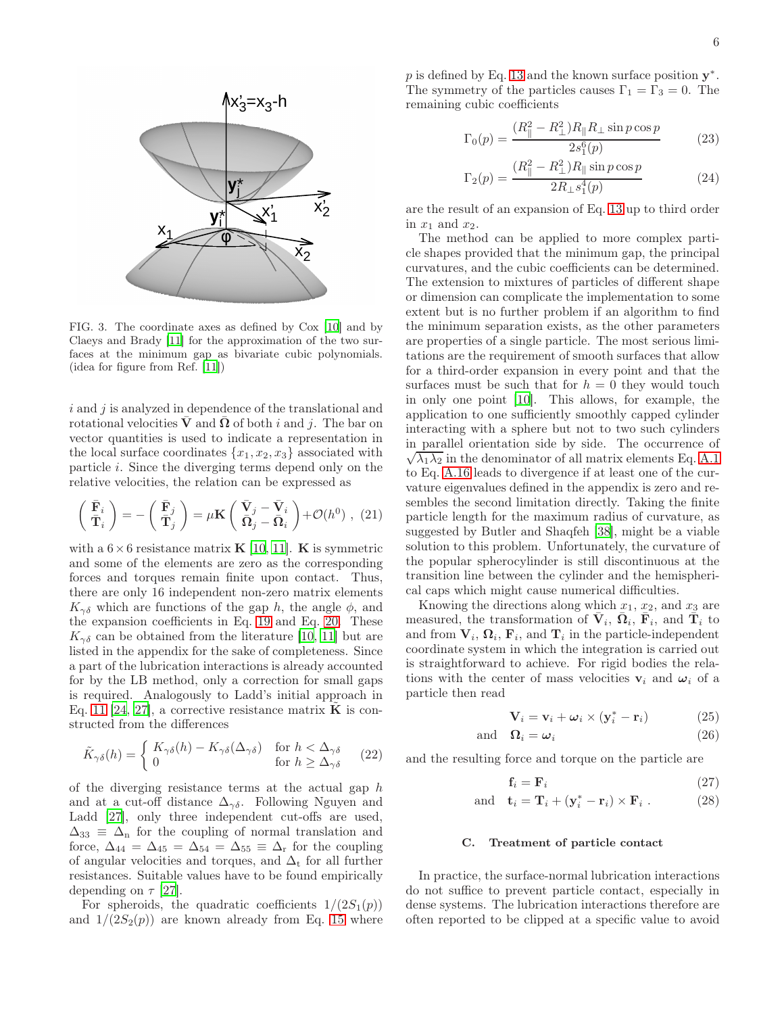

<span id="page-5-0"></span>FIG. 3. The coordinate axes as defined by Cox [\[10\]](#page-18-4) and by Claeys and Brady [\[11](#page-18-5)] for the approximation of the two surfaces at the minimum gap as bivariate cubic polynomials. (idea for figure from Ref. [\[11](#page-18-5)])

 $i$  and  $j$  is analyzed in dependence of the translational and rotational velocities  $\bar{\mathbf{V}}$  and  $\bar{\mathbf{\Omega}}$  of both i and j. The bar on vector quantities is used to indicate a representation in the local surface coordinates  $\{x_1, x_2, x_3\}$  associated with particle i. Since the diverging terms depend only on the relative velocities, the relation can be expressed as

<span id="page-5-2"></span>
$$
\begin{pmatrix} \bar{\mathbf{F}}_i \\ \bar{\mathbf{T}}_i \end{pmatrix} = -\begin{pmatrix} \bar{\mathbf{F}}_j \\ \bar{\mathbf{T}}_j \end{pmatrix} = \mu \mathbf{K} \begin{pmatrix} \bar{\mathbf{V}}_j - \bar{\mathbf{V}}_i \\ \bar{\mathbf{\Omega}}_j - \bar{\mathbf{\Omega}}_i \end{pmatrix} + \mathcal{O}(h^0) , (21)
$$

with a  $6 \times 6$  resistance matrix **K** [\[10,](#page-18-4) [11\]](#page-18-5). **K** is symmetric and some of the elements are zero as the corresponding forces and torques remain finite upon contact. Thus, there are only 16 independent non-zero matrix elements  $K_{\gamma\delta}$  which are functions of the gap h, the angle  $\phi$ , and the expansion coefficients in Eq. [19](#page-4-1) and Eq. [20.](#page-4-2) These  $K_{\gamma\delta}$  can be obtained from the literature [\[10](#page-18-4), [11](#page-18-5)] but are listed in the appendix for the sake of completeness. Since a part of the lubrication interactions is already accounted for by the LB method, only a correction for small gaps is required. Analogously to Ladd's initial approach in Eq. [11](#page-2-4) [\[24,](#page-18-18) [27](#page-18-20)], a corrective resistance matrix  $\tilde{\mathbf{K}}$  is constructed from the differences

<span id="page-5-1"></span>
$$
\tilde{K}_{\gamma\delta}(h) = \begin{cases}\nK_{\gamma\delta}(h) - K_{\gamma\delta}(\Delta_{\gamma\delta}) & \text{for } h < \Delta_{\gamma\delta} \\
0 & \text{for } h \ge \Delta_{\gamma\delta}\n\end{cases}
$$
\n(22)

of the diverging resistance terms at the actual gap  $h$ and at a cut-off distance  $\Delta_{\gamma\delta}$ . Following Nguyen and Ladd [\[27](#page-18-20)], only three independent cut-offs are used,  $\Delta_{33} \equiv \Delta_{n}$  for the coupling of normal translation and force,  $\Delta_{44} = \Delta_{45} = \Delta_{54} = \Delta_{55} \equiv \Delta_{\rm r}$  for the coupling of angular velocities and torques, and  $\Delta_t$  for all further resistances. Suitable values have to be found empirically depending on  $\tau$  [\[27](#page-18-20)].

For spheroids, the quadratic coefficients  $1/(2S_1(p))$ and  $1/(2S_2(p))$  are known already from Eq. [15](#page-3-5) where

p is defined by Eq. [13](#page-3-2) and the known surface position  $y^*$ . The symmetry of the particles causes  $\Gamma_1 = \Gamma_3 = 0$ . The remaining cubic coefficients

$$
\Gamma_0(p) = \frac{(R_{\parallel}^2 - R_{\perp}^2)R_{\parallel}R_{\perp}\sin p \cos p}{2s_1^6(p)}\tag{23}
$$

$$
\Gamma_2(p) = \frac{(R_{\parallel}^2 - R_{\perp}^2)R_{\parallel}\sin p \cos p}{2R_{\perp}s_1^4(p)}\tag{24}
$$

are the result of an expansion of Eq. [13](#page-3-2) up to third order in  $x_1$  and  $x_2$ .

The method can be applied to more complex particle shapes provided that the minimum gap, the principal curvatures, and the cubic coefficients can be determined. The extension to mixtures of particles of different shape or dimension can complicate the implementation to some extent but is no further problem if an algorithm to find the minimum separation exists, as the other parameters are properties of a single particle. The most serious limitations are the requirement of smooth surfaces that allow for a third-order expansion in every point and that the surfaces must be such that for  $h = 0$  they would touch in only one point [\[10\]](#page-18-4). This allows, for example, the application to one sufficiently smoothly capped cylinder interacting with a sphere but not to two such cylinders in parallel orientation side by side. The occurrence of  $\sqrt{\lambda_1 \lambda_2}$  in the denominator of all matrix elements Eq. [A.1](#page-16-0) to Eq. [A.16](#page-17-2) leads to divergence if at least one of the curvature eigenvalues defined in the appendix is zero and resembles the second limitation directly. Taking the finite particle length for the maximum radius of curvature, as suggested by Butler and Shaqfeh [\[38\]](#page-18-31), might be a viable solution to this problem. Unfortunately, the curvature of the popular spherocylinder is still discontinuous at the transition line between the cylinder and the hemispherical caps which might cause numerical difficulties.

Knowing the directions along which  $x_1, x_2$ , and  $x_3$  are measured, the transformation of  $\bar{V}_i$ ,  $\bar{\Omega}_i$ ,  $\bar{F}_i$ , and  $\bar{\tilde{T}}_i$  to and from  $V_i$ ,  $\Omega_i$ ,  $F_i$ , and  $T_i$  in the particle-independent coordinate system in which the integration is carried out is straightforward to achieve. For rigid bodies the relations with the center of mass velocities  $v_i$  and  $\omega_i$  of a particle then read

$$
\mathbf{V}_{i} = \mathbf{v}_{i} + \boldsymbol{\omega}_{i} \times (\mathbf{y}_{i}^{*} - \mathbf{r}_{i})
$$
 (25)

and 
$$
\Omega_i = \omega_i
$$
 (26)

and the resulting force and torque on the particle are

$$
\mathbf{f}_i = \mathbf{F}_i \tag{27}
$$

and 
$$
\mathbf{t}_i = \mathbf{T}_i + (\mathbf{y}_i^* - \mathbf{r}_i) \times \mathbf{F}_i
$$
. (28)

### C. Treatment of particle contact

In practice, the surface-normal lubrication interactions do not suffice to prevent particle contact, especially in dense systems. The lubrication interactions therefore are often reported to be clipped at a specific value to avoid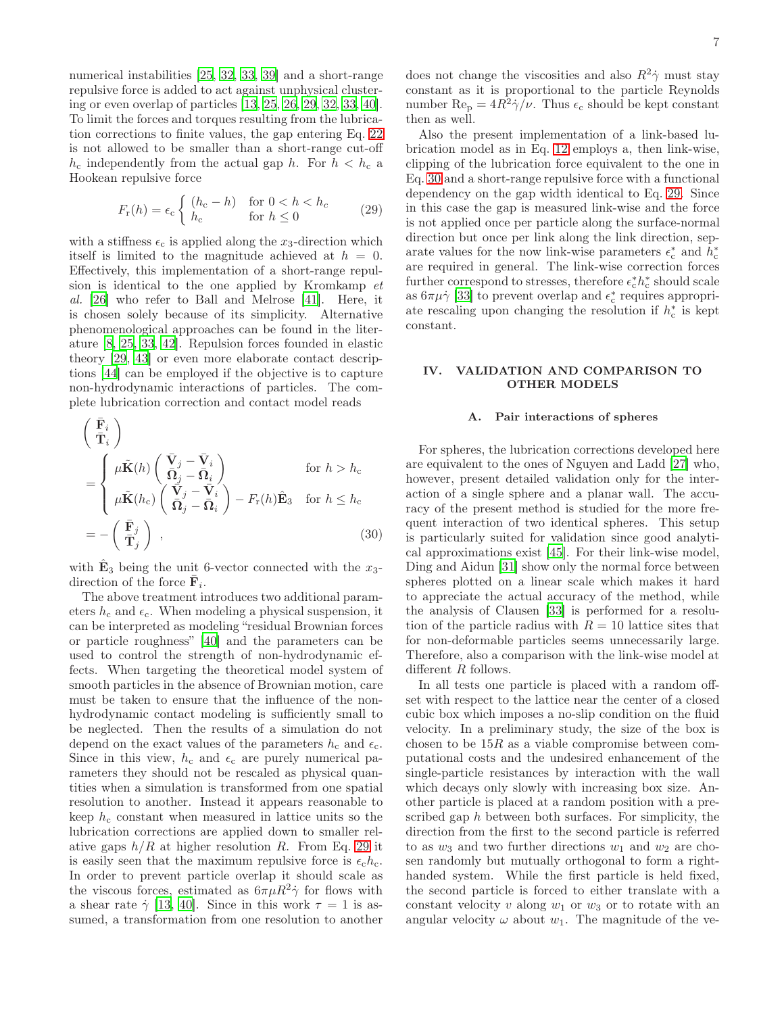numerical instabilities [\[25](#page-18-32), [32,](#page-18-25) [33,](#page-18-26) [39](#page-18-33)] and a short-range repulsive force is added to act against unphysical clustering or even overlap of particles [\[13,](#page-18-7) [25](#page-18-32), [26,](#page-18-19) [29](#page-18-22), [32,](#page-18-25) [33](#page-18-26), [40\]](#page-18-34). To limit the forces and torques resulting from the lubrication corrections to finite values, the gap entering Eq. [22](#page-5-1) is not allowed to be smaller than a short-range cut-off  $h_c$  independently from the actual gap h. For  $h < h_c$  a Hookean repulsive force

<span id="page-6-1"></span>
$$
F_{\rm r}(h) = \epsilon_{\rm c} \begin{cases} (h_{\rm c} - h) & \text{for } 0 < h < h_{\rm c} \\ h_{\rm c} & \text{for } h \le 0 \end{cases} \tag{29}
$$

with a stiffness  $\epsilon_c$  is applied along the  $x_3$ -direction which itself is limited to the magnitude achieved at  $h = 0$ . Effectively, this implementation of a short-range repulsion is identical to the one applied by Kromkamp et al. [\[26\]](#page-18-19) who refer to Ball and Melrose [\[41](#page-18-35)]. Here, it is chosen solely because of its simplicity. Alternative phenomenological approaches can be found in the literature [\[8,](#page-18-2) [25](#page-18-32), [33,](#page-18-26) [42\]](#page-18-36). Repulsion forces founded in elastic theory [\[29,](#page-18-22) [43\]](#page-18-37) or even more elaborate contact descriptions [\[44\]](#page-18-38) can be employed if the objective is to capture non-hydrodynamic interactions of particles. The complete lubrication correction and contact model reads

<span id="page-6-2"></span>
$$
\begin{aligned}\n&\left(\begin{array}{c}\n\bar{\mathbf{F}}_{i} \\
\bar{\mathbf{T}}_{i}\n\end{array}\right) \\
&= \begin{cases}\n\mu \tilde{\mathbf{K}}(h) \begin{pmatrix}\n\bar{\mathbf{V}}_{j} - \bar{\mathbf{V}}_{i} \\
\bar{\mathbf{\Omega}}_{j} - \bar{\mathbf{\Omega}}_{i}\n\end{pmatrix} & \text{for } h > h_{c} \\
\mu \tilde{\mathbf{K}}(h_{c}) \begin{pmatrix}\n\bar{\mathbf{V}}_{j} - \bar{\mathbf{V}}_{i} \\
\bar{\mathbf{\Omega}}_{j} - \bar{\mathbf{\Omega}}_{i}\n\end{pmatrix} - F_{r}(h)\hat{\mathbf{E}}_{3} & \text{for } h \leq h_{c} \\
&= -\begin{pmatrix}\n\bar{\mathbf{F}}_{j} \\
\bar{\mathbf{T}}_{j}\n\end{pmatrix},\n\end{cases}
$$
\n(30)

with  $\hat{\mathbf{E}}_3$  being the unit 6-vector connected with the  $x_3$ direction of the force  $\bar{\mathbf{F}}_i$ .

The above treatment introduces two additional parameters  $h_c$  and  $\epsilon_c$ . When modeling a physical suspension, it can be interpreted as modeling "residual Brownian forces or particle roughness" [\[40](#page-18-34)] and the parameters can be used to control the strength of non-hydrodynamic effects. When targeting the theoretical model system of smooth particles in the absence of Brownian motion, care must be taken to ensure that the influence of the nonhydrodynamic contact modeling is sufficiently small to be neglected. Then the results of a simulation do not depend on the exact values of the parameters  $h_c$  and  $\epsilon_c$ . Since in this view,  $h_c$  and  $\epsilon_c$  are purely numerical parameters they should not be rescaled as physical quantities when a simulation is transformed from one spatial resolution to another. Instead it appears reasonable to keep  $h_c$  constant when measured in lattice units so the lubrication corrections are applied down to smaller relative gaps  $h/R$  at higher resolution R. From Eq. [29](#page-6-1) it is easily seen that the maximum repulsive force is  $\epsilon_c h_c$ . In order to prevent particle overlap it should scale as the viscous forces, estimated as  $6\pi\mu R^2\dot{\gamma}$  for flows with a shear rate  $\dot{\gamma}$  [\[13](#page-18-7), [40](#page-18-34)]. Since in this work  $\tau = 1$  is assumed, a transformation from one resolution to another

does not change the viscosities and also  $R^2\dot{\gamma}$  must stay constant as it is proportional to the particle Reynolds number  $\text{Re}_{\text{p}} = 4R^2 \dot{\gamma}/\nu$ . Thus  $\epsilon_{\text{c}}$  should be kept constant then as well.

Also the present implementation of a link-based lubrication model as in Eq. [12](#page-3-1) employs a, then link-wise, clipping of the lubrication force equivalent to the one in Eq. [30](#page-6-2) and a short-range repulsive force with a functional dependency on the gap width identical to Eq. [29.](#page-6-1) Since in this case the gap is measured link-wise and the force is not applied once per particle along the surface-normal direction but once per link along the link direction, separate values for the now link-wise parameters  $\epsilon_{\rm c}^*$  and  $h_{\rm c}^*$ are required in general. The link-wise correction forces further correspond to stresses, therefore  $\epsilon_{\rm c}^* h_{\rm c}^*$  should scale as  $6\pi\mu\dot{\gamma}$  [\[33](#page-18-26)] to prevent overlap and  $\epsilon_c^*$  requires appropriate rescaling upon changing the resolution if  $h_c^*$  is kept constant.

# <span id="page-6-0"></span>IV. VALIDATION AND COMPARISON TO OTHER MODELS

### A. Pair interactions of spheres

For spheres, the lubrication corrections developed here are equivalent to the ones of Nguyen and Ladd [\[27\]](#page-18-20) who, however, present detailed validation only for the interaction of a single sphere and a planar wall. The accuracy of the present method is studied for the more frequent interaction of two identical spheres. This setup is particularly suited for validation since good analytical approximations exist [\[45\]](#page-18-39). For their link-wise model, Ding and Aidun [\[31](#page-18-24)] show only the normal force between spheres plotted on a linear scale which makes it hard to appreciate the actual accuracy of the method, while the analysis of Clausen [\[33\]](#page-18-26) is performed for a resolution of the particle radius with  $R = 10$  lattice sites that for non-deformable particles seems unnecessarily large. Therefore, also a comparison with the link-wise model at different R follows.

In all tests one particle is placed with a random offset with respect to the lattice near the center of a closed cubic box which imposes a no-slip condition on the fluid velocity. In a preliminary study, the size of the box is chosen to be  $15R$  as a viable compromise between computational costs and the undesired enhancement of the single-particle resistances by interaction with the wall which decays only slowly with increasing box size. Another particle is placed at a random position with a prescribed gap h between both surfaces. For simplicity, the direction from the first to the second particle is referred to as  $w_3$  and two further directions  $w_1$  and  $w_2$  are chosen randomly but mutually orthogonal to form a righthanded system. While the first particle is held fixed, the second particle is forced to either translate with a constant velocity v along  $w_1$  or  $w_3$  or to rotate with an angular velocity  $\omega$  about  $w_1$ . The magnitude of the ve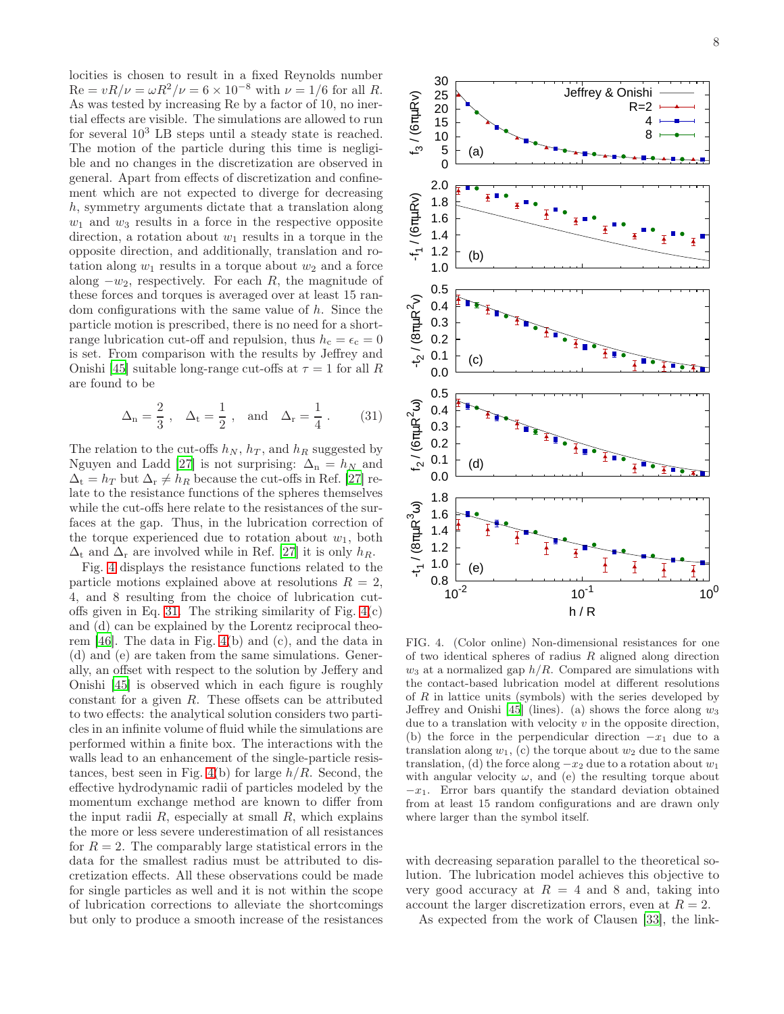locities is chosen to result in a fixed Reynolds number  $Re = vR/\nu = \omega R^2/\nu = 6 \times 10^{-8}$  with  $\nu = 1/6$  for all R. As was tested by increasing Re by a factor of 10, no inertial effects are visible. The simulations are allowed to run for several  $10^3$  LB steps until a steady state is reached. The motion of the particle during this time is negligible and no changes in the discretization are observed in general. Apart from effects of discretization and confinement which are not expected to diverge for decreasing h, symmetry arguments dictate that a translation along  $w_1$  and  $w_3$  results in a force in the respective opposite direction, a rotation about  $w_1$  results in a torque in the opposite direction, and additionally, translation and rotation along  $w_1$  results in a torque about  $w_2$  and a force along  $-w_2$ , respectively. For each R, the magnitude of these forces and torques is averaged over at least 15 random configurations with the same value of h. Since the particle motion is prescribed, there is no need for a shortrange lubrication cut-off and repulsion, thus  $h_c = \epsilon_c = 0$ is set. From comparison with the results by Jeffrey and Onishi [\[45](#page-18-39)] suitable long-range cut-offs at  $\tau = 1$  for all R are found to be

<span id="page-7-1"></span>
$$
\Delta_n = \frac{2}{3} \; , \ \ \, \Delta_t = \frac{1}{2} \; , \ \ \, \text{and} \ \ \, \Delta_r = \frac{1}{4} \; . \eqno(31)
$$

The relation to the cut-offs  $h_N$ ,  $h_T$ , and  $h_R$  suggested by Nguyen and Ladd [\[27\]](#page-18-20) is not surprising:  $\Delta_n = h_N$  and  $\Delta_t = h_T$  but  $\Delta_r \neq h_R$  because the cut-offs in Ref. [\[27](#page-18-20)] relate to the resistance functions of the spheres themselves while the cut-offs here relate to the resistances of the surfaces at the gap. Thus, in the lubrication correction of the torque experienced due to rotation about  $w_1$ , both  $\Delta_t$  and  $\Delta_r$  are involved while in Ref. [\[27\]](#page-18-20) it is only  $h_R$ .

Fig. [4](#page-7-0) displays the resistance functions related to the particle motions explained above at resolutions  $R = 2$ , 4, and 8 resulting from the choice of lubrication cut-offs given in Eq. [31.](#page-7-1) The striking similarity of Fig.  $4(c)$ and (d) can be explained by the Lorentz reciprocal theorem [\[46\]](#page-18-40). The data in Fig. [4\(](#page-7-0)b) and (c), and the data in (d) and (e) are taken from the same simulations. Generally, an offset with respect to the solution by Jeffery and Onishi [\[45\]](#page-18-39) is observed which in each figure is roughly constant for a given R. These offsets can be attributed to two effects: the analytical solution considers two particles in an infinite volume of fluid while the simulations are performed within a finite box. The interactions with the walls lead to an enhancement of the single-particle resis-tances, best seen in Fig. [4\(](#page-7-0)b) for large  $h/R$ . Second, the effective hydrodynamic radii of particles modeled by the momentum exchange method are known to differ from the input radii  $R$ , especially at small  $R$ , which explains the more or less severe underestimation of all resistances for  $R = 2$ . The comparably large statistical errors in the data for the smallest radius must be attributed to discretization effects. All these observations could be made for single particles as well and it is not within the scope of lubrication corrections to alleviate the shortcomings but only to produce a smooth increase of the resistances



<span id="page-7-0"></span>FIG. 4. (Color online) Non-dimensional resistances for one of two identical spheres of radius  $R$  aligned along direction  $w_3$  at a normalized gap  $h/R$ . Compared are simulations with the contact-based lubrication model at different resolutions of  $R$  in lattice units (symbols) with the series developed by Jeffrey and Onishi [\[45\]](#page-18-39) (lines). (a) shows the force along  $w_3$ due to a translation with velocity  $v$  in the opposite direction, (b) the force in the perpendicular direction  $-x_1$  due to a translation along  $w_1$ , (c) the torque about  $w_2$  due to the same translation, (d) the force along  $-x_2$  due to a rotation about  $w_1$ with angular velocity  $\omega$ , and (e) the resulting torque about  $-x_1$ . Error bars quantify the standard deviation obtained from at least 15 random configurations and are drawn only where larger than the symbol itself.

with decreasing separation parallel to the theoretical solution. The lubrication model achieves this objective to very good accuracy at  $R = 4$  and 8 and, taking into account the larger discretization errors, even at  $R = 2$ .

As expected from the work of Clausen [\[33\]](#page-18-26), the link-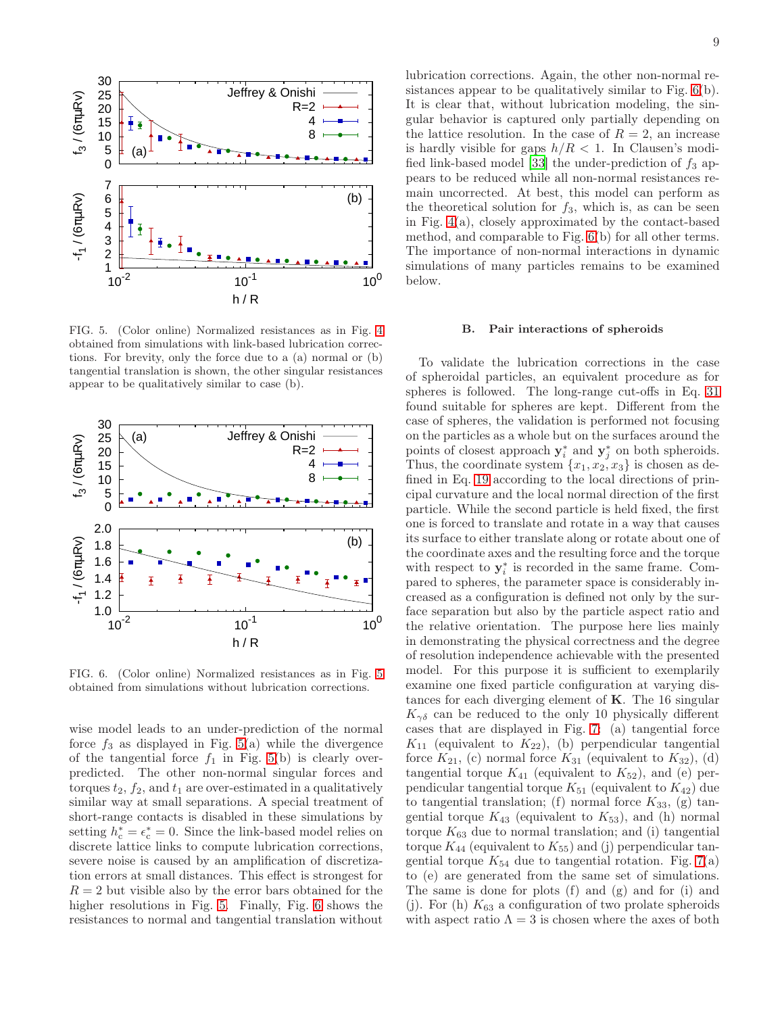

<span id="page-8-0"></span>FIG. 5. (Color online) Normalized resistances as in Fig. [4](#page-7-0) obtained from simulations with link-based lubrication corrections. For brevity, only the force due to a (a) normal or (b) tangential translation is shown, the other singular resistances appear to be qualitatively similar to case (b).



<span id="page-8-1"></span>FIG. 6. (Color online) Normalized resistances as in Fig. [5](#page-8-0) obtained from simulations without lubrication corrections.

wise model leads to an under-prediction of the normal force  $f_3$  as displayed in Fig. [5\(](#page-8-0)a) while the divergence of the tangential force  $f_1$  in Fig. [5\(](#page-8-0)b) is clearly overpredicted. The other non-normal singular forces and torques  $t_2$ ,  $f_2$ , and  $t_1$  are over-estimated in a qualitatively similar way at small separations. A special treatment of short-range contacts is disabled in these simulations by setting  $h_c^* = \epsilon_c^* = 0$ . Since the link-based model relies on discrete lattice links to compute lubrication corrections, severe noise is caused by an amplification of discretization errors at small distances. This effect is strongest for  $R = 2$  but visible also by the error bars obtained for the higher resolutions in Fig. [5.](#page-8-0) Finally, Fig. [6](#page-8-1) shows the resistances to normal and tangential translation without

lubrication corrections. Again, the other non-normal resistances appear to be qualitatively similar to Fig. [6\(](#page-8-1)b). It is clear that, without lubrication modeling, the singular behavior is captured only partially depending on the lattice resolution. In the case of  $R = 2$ , an increase is hardly visible for gaps  $h/R < 1$ . In Clausen's modi-fied link-based model [\[33\]](#page-18-26) the under-prediction of  $f_3$  appears to be reduced while all non-normal resistances remain uncorrected. At best, this model can perform as the theoretical solution for  $f_3$ , which is, as can be seen in Fig. [4\(](#page-7-0)a), closely approximated by the contact-based method, and comparable to Fig. [6\(](#page-8-1)b) for all other terms. The importance of non-normal interactions in dynamic simulations of many particles remains to be examined below.

### B. Pair interactions of spheroids

To validate the lubrication corrections in the case of spheroidal particles, an equivalent procedure as for spheres is followed. The long-range cut-offs in Eq. [31](#page-7-1) found suitable for spheres are kept. Different from the case of spheres, the validation is performed not focusing on the particles as a whole but on the surfaces around the points of closest approach  $y_i^*$  and  $y_j^*$  on both spheroids. Thus, the coordinate system  $\{x_1, x_2, x_3\}$  is chosen as defined in Eq. [19](#page-4-1) according to the local directions of principal curvature and the local normal direction of the first particle. While the second particle is held fixed, the first one is forced to translate and rotate in a way that causes its surface to either translate along or rotate about one of the coordinate axes and the resulting force and the torque with respect to  $y_i^*$  is recorded in the same frame. Compared to spheres, the parameter space is considerably increased as a configuration is defined not only by the surface separation but also by the particle aspect ratio and the relative orientation. The purpose here lies mainly in demonstrating the physical correctness and the degree of resolution independence achievable with the presented model. For this purpose it is sufficient to exemplarily examine one fixed particle configuration at varying distances for each diverging element of  $K$ . The 16 singular  $K_{\gamma\delta}$  can be reduced to the only 10 physically different cases that are displayed in Fig. [7:](#page-9-0) (a) tangential force  $K_{11}$  (equivalent to  $K_{22}$ ), (b) perpendicular tangential force  $K_{21}$ , (c) normal force  $K_{31}$  (equivalent to  $K_{32}$ ), (d) tangential torque  $K_{41}$  (equivalent to  $K_{52}$ ), and (e) perpendicular tangential torque  $K_{51}$  (equivalent to  $K_{42}$ ) due to tangential translation; (f) normal force  $K_{33}$ , (g) tangential torque  $K_{43}$  (equivalent to  $K_{53}$ ), and (h) normal torque  $K_{63}$  due to normal translation; and (i) tangential torque  $K_{44}$  (equivalent to  $K_{55}$ ) and (j) perpendicular tangential torque  $K_{54}$  due to tangential rotation. Fig. [7\(](#page-9-0)a) to (e) are generated from the same set of simulations. The same is done for plots (f) and (g) and for (i) and (j). For (h)  $K_{63}$  a configuration of two prolate spheroids with aspect ratio  $\Lambda = 3$  is chosen where the axes of both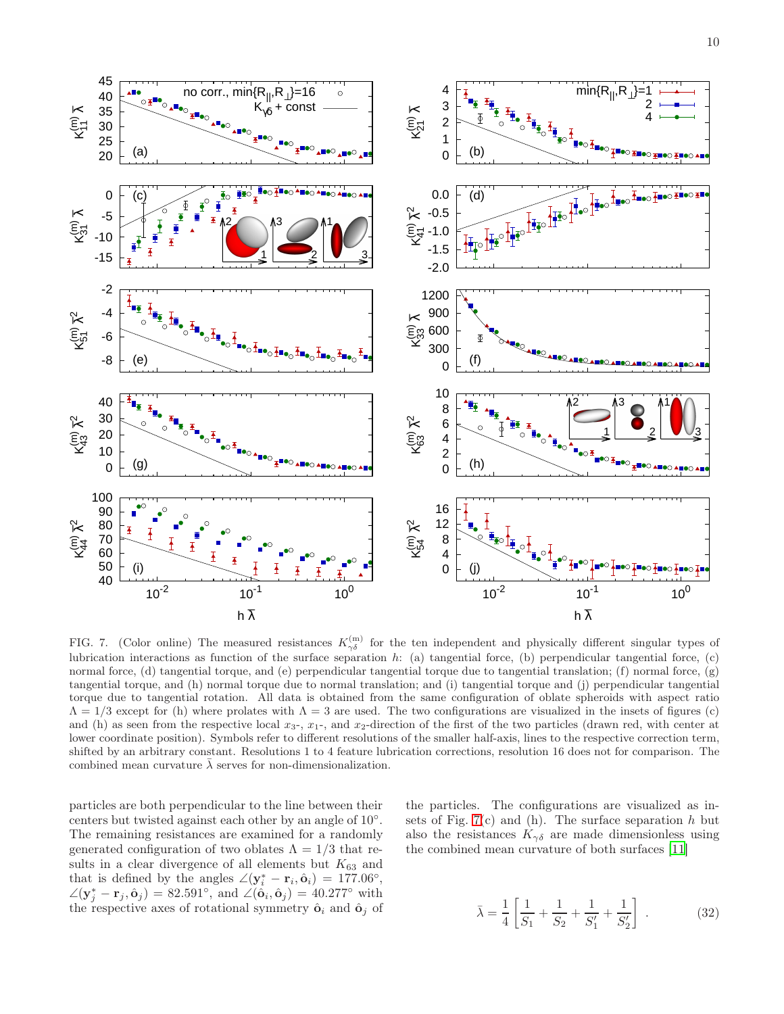

<span id="page-9-0"></span>FIG. 7. (Color online) The measured resistances  $K_{\gamma\delta}^{(m)}$  for the ten independent and physically different singular types of lubrication interactions as function of the surface separation  $h$ : (a) tangential force, (b) perpendicular tangential force, (c) normal force, (d) tangential torque, and (e) perpendicular tangential torque due to tangential translation; (f) normal force, (g) tangential torque, and (h) normal torque due to normal translation; and (i) tangential torque and (j) perpendicular tangential torque due to tangential rotation. All data is obtained from the same configuration of oblate spheroids with aspect ratio  $\Lambda = 1/3$  except for (h) where prolates with  $\Lambda = 3$  are used. The two configurations are visualized in the insets of figures (c) and (h) as seen from the respective local  $x_3$ -,  $x_1$ -, and  $x_2$ -direction of the first of the two particles (drawn red, with center at lower coordinate position). Symbols refer to different resolutions of the smaller half-axis, lines to the respective correction term, shifted by an arbitrary constant. Resolutions 1 to 4 feature lubrication corrections, resolution 16 does not for comparison. The combined mean curvature  $\bar{\lambda}$  serves for non-dimensionalization.

particles are both perpendicular to the line between their centers but twisted against each other by an angle of 10◦ . The remaining resistances are examined for a randomly generated configuration of two oblates  $\Lambda = 1/3$  that results in a clear divergence of all elements but  $K_{63}$  and that is defined by the angles  $\angle(y_i^* - r_i, \hat{\mathbf{o}}_i) = 177.06^\circ$ ,  $\angle(\mathbf{y}_j^* - \mathbf{r}_j, \hat{\mathbf{o}}_j) = 82.591^\circ$ , and  $\angle(\hat{\mathbf{o}}_i, \hat{\mathbf{o}}_j) = 40.277^\circ$  with the respective axes of rotational symmetry  $\hat{\mathbf{o}}_i$  and  $\hat{\mathbf{o}}_j$  of

the particles. The configurations are visualized as insets of Fig.  $7(c)$  and (h). The surface separation h but also the resistances  $K_{\gamma\delta}$  are made dimensionless using the combined mean curvature of both surfaces [\[11\]](#page-18-5)

$$
\bar{\lambda} = \frac{1}{4} \left[ \frac{1}{S_1} + \frac{1}{S_2} + \frac{1}{S'_1} + \frac{1}{S'_2} \right] . \tag{32}
$$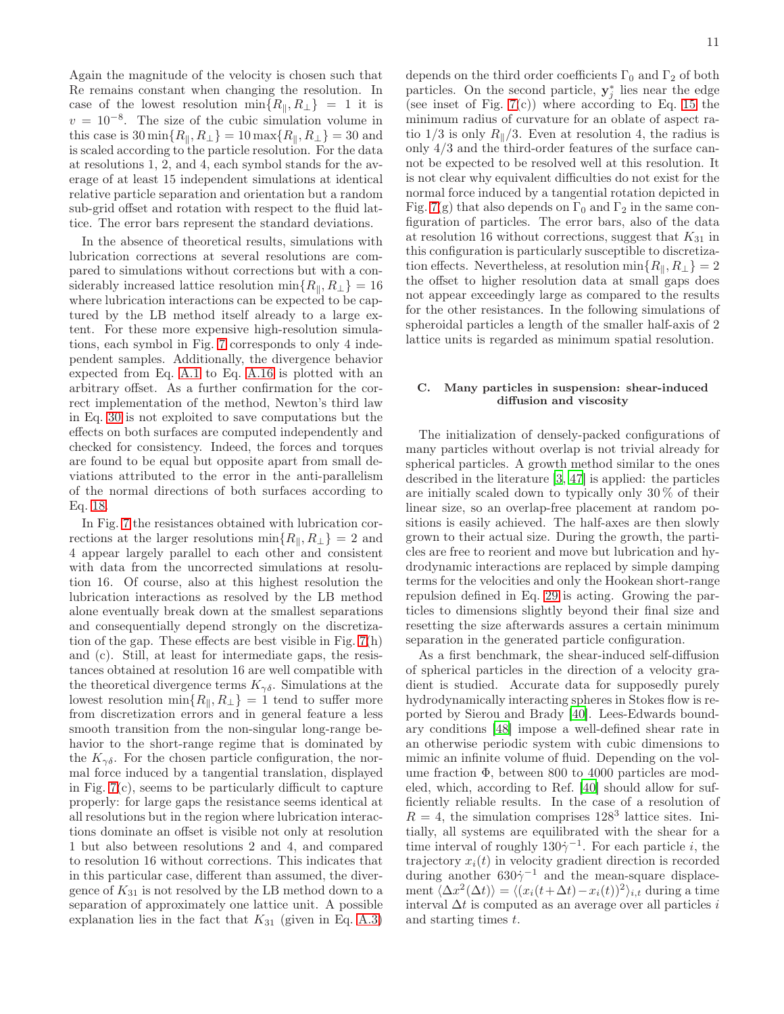Again the magnitude of the velocity is chosen such that Re remains constant when changing the resolution. In case of the lowest resolution  $\min\{R_{\parallel}, R_{\perp}\}$  = 1 it is  $v = 10^{-8}$ . The size of the cubic simulation volume in this case is  $30 \min\{R_{\parallel}, R_{\perp}\} = 10 \max\{R_{\parallel}, R_{\perp}\} = 30$  and is scaled according to the particle resolution. For the data at resolutions 1, 2, and 4, each symbol stands for the average of at least 15 independent simulations at identical relative particle separation and orientation but a random sub-grid offset and rotation with respect to the fluid lattice. The error bars represent the standard deviations.

In the absence of theoretical results, simulations with lubrication corrections at several resolutions are compared to simulations without corrections but with a considerably increased lattice resolution min $\{R_{\parallel}, R_{\perp}\} = 16$ where lubrication interactions can be expected to be captured by the LB method itself already to a large extent. For these more expensive high-resolution simulations, each symbol in Fig. [7](#page-9-0) corresponds to only 4 independent samples. Additionally, the divergence behavior expected from Eq. [A.1](#page-16-0) to Eq. [A.16](#page-17-2) is plotted with an arbitrary offset. As a further confirmation for the correct implementation of the method, Newton's third law in Eq. [30](#page-6-2) is not exploited to save computations but the effects on both surfaces are computed independently and checked for consistency. Indeed, the forces and torques are found to be equal but opposite apart from small deviations attributed to the error in the anti-parallelism of the normal directions of both surfaces according to Eq. [18.](#page-3-3)

In Fig. [7](#page-9-0) the resistances obtained with lubrication corrections at the larger resolutions min $\{R_{\parallel}, R_{\perp}\} = 2$  and 4 appear largely parallel to each other and consistent with data from the uncorrected simulations at resolution 16. Of course, also at this highest resolution the lubrication interactions as resolved by the LB method alone eventually break down at the smallest separations and consequentially depend strongly on the discretization of the gap. These effects are best visible in Fig. [7\(](#page-9-0)h) and (c). Still, at least for intermediate gaps, the resistances obtained at resolution 16 are well compatible with the theoretical divergence terms  $K_{\gamma\delta}$ . Simulations at the lowest resolution min $\{R_{\parallel}, R_{\perp}\} = 1$  tend to suffer more from discretization errors and in general feature a less smooth transition from the non-singular long-range behavior to the short-range regime that is dominated by the  $K_{\gamma\delta}$ . For the chosen particle configuration, the normal force induced by a tangential translation, displayed in Fig. [7\(](#page-9-0)c), seems to be particularly difficult to capture properly: for large gaps the resistance seems identical at all resolutions but in the region where lubrication interactions dominate an offset is visible not only at resolution 1 but also between resolutions 2 and 4, and compared to resolution 16 without corrections. This indicates that in this particular case, different than assumed, the divergence of  $K_{31}$  is not resolved by the LB method down to a separation of approximately one lattice unit. A possible explanation lies in the fact that  $K_{31}$  (given in Eq. [A.3\)](#page-16-1)

depends on the third order coefficients  $\Gamma_0$  and  $\Gamma_2$  of both particles. On the second particle,  $y_j^*$  lies near the edge (see inset of Fig.  $7(c)$ ) where according to Eq. [15](#page-3-5) the minimum radius of curvature for an oblate of aspect ratio  $1/3$  is only  $R_{\parallel}/3$ . Even at resolution 4, the radius is only 4/3 and the third-order features of the surface cannot be expected to be resolved well at this resolution. It is not clear why equivalent difficulties do not exist for the normal force induced by a tangential rotation depicted in Fig. [7\(](#page-9-0)g) that also depends on  $\Gamma_0$  and  $\Gamma_2$  in the same configuration of particles. The error bars, also of the data at resolution 16 without corrections, suggest that  $K_{31}$  in this configuration is particularly susceptible to discretization effects. Nevertheless, at resolution min $\{R_{\parallel}, R_{\perp}\} = 2$ the offset to higher resolution data at small gaps does not appear exceedingly large as compared to the results for the other resistances. In the following simulations of spheroidal particles a length of the smaller half-axis of 2 lattice units is regarded as minimum spatial resolution.

# C. Many particles in suspension: shear-induced diffusion and viscosity

The initialization of densely-packed configurations of many particles without overlap is not trivial already for spherical particles. A growth method similar to the ones described in the literature [\[3,](#page-17-3) [47](#page-18-41)] is applied: the particles are initially scaled down to typically only 30 % of their linear size, so an overlap-free placement at random positions is easily achieved. The half-axes are then slowly grown to their actual size. During the growth, the particles are free to reorient and move but lubrication and hydrodynamic interactions are replaced by simple damping terms for the velocities and only the Hookean short-range repulsion defined in Eq. [29](#page-6-1) is acting. Growing the particles to dimensions slightly beyond their final size and resetting the size afterwards assures a certain minimum separation in the generated particle configuration.

As a first benchmark, the shear-induced self-diffusion of spherical particles in the direction of a velocity gradient is studied. Accurate data for supposedly purely hydrodynamically interacting spheres in Stokes flow is reported by Sierou and Brady [\[40\]](#page-18-34). Lees-Edwards boundary conditions [\[48](#page-18-42)] impose a well-defined shear rate in an otherwise periodic system with cubic dimensions to mimic an infinite volume of fluid. Depending on the volume fraction Φ, between 800 to 4000 particles are modeled, which, according to Ref. [\[40](#page-18-34)] should allow for sufficiently reliable results. In the case of a resolution of  $R = 4$ , the simulation comprises 128<sup>3</sup> lattice sites. Initially, all systems are equilibrated with the shear for a time interval of roughly  $130\dot{\gamma}^{-1}$ . For each particle *i*, the trajectory  $x_i(t)$  in velocity gradient direction is recorded during another  $630\dot{\gamma}^{-1}$  and the mean-square displacement  $\langle \Delta x^2(\Delta t) \rangle = \langle (x_i(t+\Delta t) - x_i(t))^2 \rangle_{i,t}$  during a time interval  $\Delta t$  is computed as an average over all particles i and starting times t.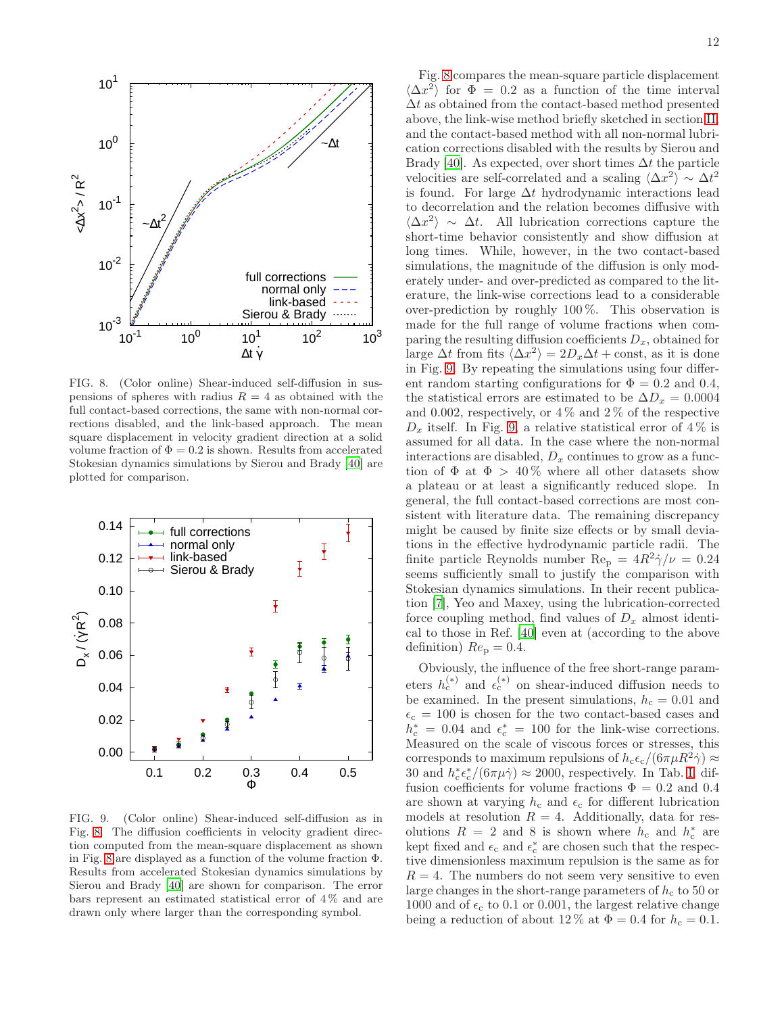

<span id="page-11-0"></span>FIG. 8. (Color online) Shear-induced self-diffusion in suspensions of spheres with radius  $R = 4$  as obtained with the full contact-based corrections, the same with non-normal corrections disabled, and the link-based approach. The mean square displacement in velocity gradient direction at a solid volume fraction of  $\Phi = 0.2$  is shown. Results from accelerated Stokesian dynamics simulations by Sierou and Brady [\[40](#page-18-34)] are plotted for comparison.



<span id="page-11-1"></span>FIG. 9. (Color online) Shear-induced self-diffusion as in Fig. [8.](#page-11-0) The diffusion coefficients in velocity gradient direction computed from the mean-square displacement as shown in Fig. [8](#page-11-0) are displayed as a function of the volume fraction Φ. Results from accelerated Stokesian dynamics simulations by Sierou and Brady [\[40](#page-18-34)] are shown for comparison. The error bars represent an estimated statistical error of  $4\%$  and are drawn only where larger than the corresponding symbol.

Fig. [8](#page-11-0) compares the mean-square particle displacement  $\langle \Delta x^2 \rangle$  for  $\Phi = 0.2$  as a function of the time interval  $\Delta t$  as obtained from the contact-based method presented above, the link-wise method briefly sketched in section [II,](#page-2-4) and the contact-based method with all non-normal lubrication corrections disabled with the results by Sierou and Brady [\[40](#page-18-34)]. As expected, over short times  $\Delta t$  the particle velocities are self-correlated and a scaling  $\langle \Delta x^2 \rangle \sim \Delta t^2$ is found. For large  $\Delta t$  hydrodynamic interactions lead to decorrelation and the relation becomes diffusive with  $\langle \Delta x^2 \rangle \sim \Delta t$ . All lubrication corrections capture the short-time behavior consistently and show diffusion at long times. While, however, in the two contact-based simulations, the magnitude of the diffusion is only moderately under- and over-predicted as compared to the literature, the link-wise corrections lead to a considerable over-prediction by roughly 100 %. This observation is made for the full range of volume fractions when comparing the resulting diffusion coefficients  $D_x$ , obtained for large  $\Delta t$  from fits  $\langle \Delta x^2 \rangle = 2D_x \Delta t + \text{const}$ , as it is done in Fig. [9.](#page-11-1) By repeating the simulations using four different random starting configurations for  $\Phi = 0.2$  and 0.4, the statistical errors are estimated to be  $\Delta D_x = 0.0004$ and 0.002, respectively, or  $4\%$  and  $2\%$  of the respective  $D_x$  itself. In Fig. [9,](#page-11-1) a relative statistical error of 4% is assumed for all data. In the case where the non-normal interactions are disabled,  $D_x$  continues to grow as a function of  $\Phi$  at  $\Phi > 40\%$  where all other datasets show a plateau or at least a significantly reduced slope. In general, the full contact-based corrections are most consistent with literature data. The remaining discrepancy might be caused by finite size effects or by small deviations in the effective hydrodynamic particle radii. The finite particle Reynolds number  $\text{Re}_{\text{p}} = 4R^2 \dot{\gamma}/\nu = 0.24$ seems sufficiently small to justify the comparison with Stokesian dynamics simulations. In their recent publication [\[7](#page-18-1)], Yeo and Maxey, using the lubrication-corrected force coupling method, find values of  $D_x$  almost identical to those in Ref. [\[40\]](#page-18-34) even at (according to the above definition)  $Re_p = 0.4$ .

Obviously, the influence of the free short-range parameters  $h_c^{(*)}$  and  $\epsilon_c^{(*)}$  on shear-induced diffusion needs to be examined. In the present simulations,  $h_c = 0.01$  and  $\epsilon_c = 100$  is chosen for the two contact-based cases and  $h_c^* = 0.04$  and  $\epsilon_c^* = 100$  for the link-wise corrections. Measured on the scale of viscous forces or stresses, this corresponds to maximum repulsions of  $h_c \epsilon_c / (6 \pi \mu R^2 \dot{\gamma}) \approx$ 30 and  $h_c^* \epsilon_c^* / (6 \pi \mu \dot{\gamma}) \approx 2000$ , respectively. In Tab. [I,](#page-12-0) diffusion coefficients for volume fractions  $\Phi = 0.2$  and 0.4 are shown at varying  $h_c$  and  $\epsilon_c$  for different lubrication models at resolution  $R = 4$ . Additionally, data for resolutions  $R = 2$  and 8 is shown where  $h_c$  and  $h_c^*$  are kept fixed and  $\epsilon_\mathrm{c}$  and  $\epsilon_\mathrm{c}^*$  are chosen such that the respective dimensionless maximum repulsion is the same as for  $R = 4$ . The numbers do not seem very sensitive to even large changes in the short-range parameters of  $h_c$  to 50 or 1000 and of  $\epsilon_c$  to 0.1 or 0.001, the largest relative change being a reduction of about 12 % at  $\Phi = 0.4$  for  $h_c = 0.1$ .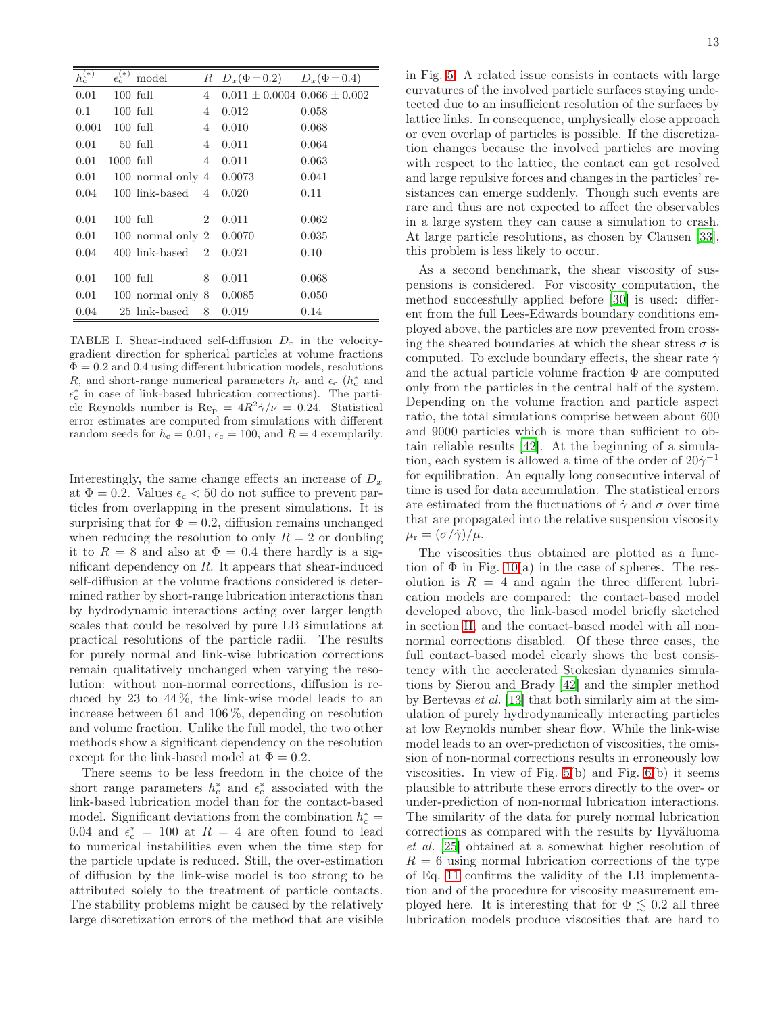| $h_{\rm c}^{(*)}$ | $\epsilon_{\rm c}^{(*)}$ | model                            | $_{R}$         | $D_x(\Phi = 0.2)$                    | $D_x(\Phi = 0.4)$ |
|-------------------|--------------------------|----------------------------------|----------------|--------------------------------------|-------------------|
| 0.01              |                          | $100$ full                       | 4              | $0.011 \pm 0.0004$ $0.066 \pm 0.002$ |                   |
| 0.1               |                          | $100$ full                       | 4              | 0.012                                | 0.058             |
| 0.001             |                          | $100$ full                       | 4              | 0.010                                | 0.068             |
| 0.01              |                          | 50 full                          | 4              | 0.011                                | 0.064             |
| 0.01              | $1000$ full              |                                  | 4              | 0.011                                | 0.063             |
| 0.01              |                          | 100 normal only $4 \quad 0.0073$ |                |                                      | 0.041             |
| 0.04              |                          | 100 link-based                   | $\overline{4}$ | 0.020                                | 0.11              |
|                   |                          |                                  |                |                                      |                   |
| 0.01              |                          | $100$ full                       | $\overline{2}$ | 0.011                                | 0.062             |
| 0.01              |                          | 100 normal only 2                |                | 0.0070                               | 0.035             |
| 0.04              |                          | 400 link-based                   | $\overline{2}$ | 0.021                                | 0.10              |
|                   |                          |                                  |                |                                      |                   |
| 0.01              |                          | $100$ full                       | 8              | 0.011                                | 0.068             |
| 0.01              |                          | 100 normal only 8                |                | 0.0085                               | 0.050             |
| 0.04              |                          | 25 link-based                    | 8              | 0.019                                | 0.14              |

<span id="page-12-0"></span>TABLE I. Shear-induced self-diffusion  $D_x$  in the velocitygradient direction for spherical particles at volume fractions  $\Phi = 0.2$  and 0.4 using different lubrication models, resolutions R, and short-range numerical parameters  $h_c$  and  $\epsilon_c$  ( $h_c^*$  and  $\epsilon_c^*$  in case of link-based lubrication corrections). The particle Reynolds number is  $\text{Re}_{p} = 4R^2 \dot{\gamma}/\nu = 0.24$ . Statistical error estimates are computed from simulations with different random seeds for  $h_c = 0.01$ ,  $\epsilon_c = 100$ , and  $R = 4$  exemplarily.

Interestingly, the same change effects an increase of  $D_x$ at  $\Phi = 0.2$ . Values  $\epsilon_c < 50$  do not suffice to prevent particles from overlapping in the present simulations. It is surprising that for  $\Phi = 0.2$ , diffusion remains unchanged when reducing the resolution to only  $R = 2$  or doubling it to  $R = 8$  and also at  $\Phi = 0.4$  there hardly is a significant dependency on  $R$ . It appears that shear-induced self-diffusion at the volume fractions considered is determined rather by short-range lubrication interactions than by hydrodynamic interactions acting over larger length scales that could be resolved by pure LB simulations at practical resolutions of the particle radii. The results for purely normal and link-wise lubrication corrections remain qualitatively unchanged when varying the resolution: without non-normal corrections, diffusion is reduced by 23 to  $44\%$ , the link-wise model leads to an increase between 61 and 106 %, depending on resolution and volume fraction. Unlike the full model, the two other methods show a significant dependency on the resolution except for the link-based model at  $\Phi = 0.2$ .

There seems to be less freedom in the choice of the short range parameters  $h_c^*$  and  $\epsilon_c^*$  associated with the link-based lubrication model than for the contact-based model. Significant deviations from the combination  $h_c^*=$ 0.04 and  $\epsilon_c^* = 100$  at  $R = 4$  are often found to lead to numerical instabilities even when the time step for the particle update is reduced. Still, the over-estimation of diffusion by the link-wise model is too strong to be attributed solely to the treatment of particle contacts. The stability problems might be caused by the relatively large discretization errors of the method that are visible

in Fig. [5.](#page-8-0) A related issue consists in contacts with large curvatures of the involved particle surfaces staying undetected due to an insufficient resolution of the surfaces by lattice links. In consequence, unphysically close approach or even overlap of particles is possible. If the discretization changes because the involved particles are moving with respect to the lattice, the contact can get resolved and large repulsive forces and changes in the particles' resistances can emerge suddenly. Though such events are rare and thus are not expected to affect the observables in a large system they can cause a simulation to crash. At large particle resolutions, as chosen by Clausen [\[33\]](#page-18-26), this problem is less likely to occur.

As a second benchmark, the shear viscosity of suspensions is considered. For viscosity computation, the method successfully applied before [\[30\]](#page-18-23) is used: different from the full Lees-Edwards boundary conditions employed above, the particles are now prevented from crossing the sheared boundaries at which the shear stress  $\sigma$  is computed. To exclude boundary effects, the shear rate  $\dot{\gamma}$ and the actual particle volume fraction  $\Phi$  are computed only from the particles in the central half of the system. Depending on the volume fraction and particle aspect ratio, the total simulations comprise between about 600 and 9000 particles which is more than sufficient to obtain reliable results [\[42\]](#page-18-36). At the beginning of a simulation, each system is allowed a time of the order of  $20\dot{\gamma}^{-1}$ for equilibration. An equally long consecutive interval of time is used for data accumulation. The statistical errors are estimated from the fluctuations of  $\dot{\gamma}$  and  $\sigma$  over time that are propagated into the relative suspension viscosity  $\mu_{\rm r} = (\sigma/\dot{\gamma})/\mu.$ 

The viscosities thus obtained are plotted as a function of  $\Phi$  in Fig. [10\(](#page-13-0)a) in the case of spheres. The resolution is  $R = 4$  and again the three different lubrication models are compared: the contact-based model developed above, the link-based model briefly sketched in section [II,](#page-2-4) and the contact-based model with all nonnormal corrections disabled. Of these three cases, the full contact-based model clearly shows the best consistency with the accelerated Stokesian dynamics simulations by Sierou and Brady [\[42\]](#page-18-36) and the simpler method by Bertevas et al. [\[13](#page-18-7)] that both similarly aim at the simulation of purely hydrodynamically interacting particles at low Reynolds number shear flow. While the link-wise model leads to an over-prediction of viscosities, the omission of non-normal corrections results in erroneously low viscosities. In view of Fig. [5\(](#page-8-0)b) and Fig. [6\(](#page-8-1)b) it seems plausible to attribute these errors directly to the over- or under-prediction of non-normal lubrication interactions. The similarity of the data for purely normal lubrication corrections as compared with the results by Hyväluoma et al. [\[25](#page-18-32)] obtained at a somewhat higher resolution of  $R = 6$  using normal lubrication corrections of the type of Eq. [11](#page-2-4) confirms the validity of the LB implementation and of the procedure for viscosity measurement employed here. It is interesting that for  $\Phi \leq 0.2$  all three lubrication models produce viscosities that are hard to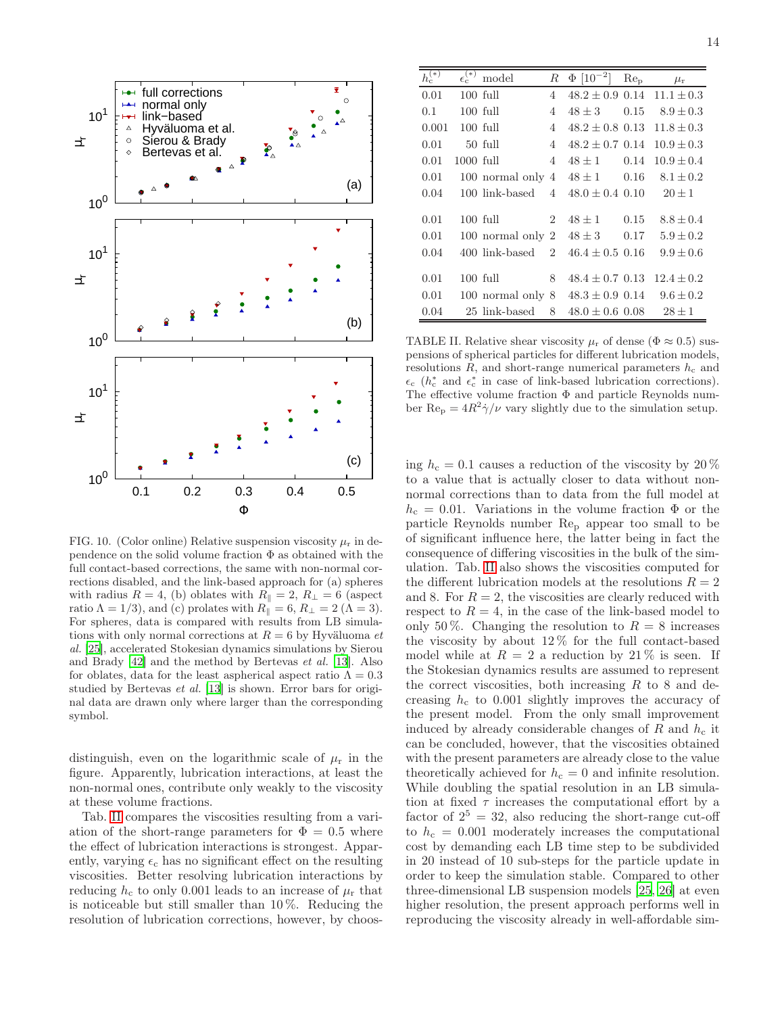

<span id="page-13-0"></span>FIG. 10. (Color online) Relative suspension viscosity  $\mu_r$  in dependence on the solid volume fraction  $\Phi$  as obtained with the full contact-based corrections, the same with non-normal corrections disabled, and the link-based approach for (a) spheres with radius  $R = 4$ , (b) oblates with  $R_{\parallel} = 2$ ,  $R_{\perp} = 6$  (aspect ratio  $\Lambda = 1/3$ , and (c) prolates with  $R_{\parallel} = 6$ ,  $R_{\perp} = 2$  ( $\Lambda = 3$ ). For spheres, data is compared with results from LB simulations with only normal corrections at  $R = 6$  by Hyväluoma et al. [\[25](#page-18-32)], accelerated Stokesian dynamics simulations by Sierou and Brady [\[42\]](#page-18-36) and the method by Bertevas et al. [\[13\]](#page-18-7). Also for oblates, data for the least aspherical aspect ratio  $\Lambda = 0.3$ studied by Bertevas et al. [\[13](#page-18-7)] is shown. Error bars for original data are drawn only where larger than the corresponding symbol.

distinguish, even on the logarithmic scale of  $\mu_r$  in the figure. Apparently, lubrication interactions, at least the non-normal ones, contribute only weakly to the viscosity at these volume fractions.

Tab. [II](#page-13-1) compares the viscosities resulting from a variation of the short-range parameters for  $\Phi = 0.5$  where the effect of lubrication interactions is strongest. Apparently, varying  $\epsilon_c$  has no significant effect on the resulting viscosities. Better resolving lubrication interactions by reducing  $h_c$  to only 0.001 leads to an increase of  $\mu_r$  that is noticeable but still smaller than 10 %. Reducing the resolution of lubrication corrections, however, by choos-

| $h_{\rm c}^{(*)}$ | $\epsilon_{\rm c}^{(*)}$ | model           | $\boldsymbol{R}$            | $\Phi$ [10 <sup>-2</sup> ] | $Re_p$ | $\mu_{\rm r}$  |
|-------------------|--------------------------|-----------------|-----------------------------|----------------------------|--------|----------------|
| 0.01              |                          | $100$ full      | 4                           | $48.2 \pm 0.9$ 0.14        |        | $11.1 \pm 0.3$ |
| 0.1               |                          | $100$ full      | 4                           | $48 \pm 3$                 | 0.15   | $8.9 \pm 0.3$  |
| 0.001             |                          | $100$ full      | 4                           | $48.2 \pm 0.8$ 0.13        |        | $11.8 \pm 0.3$ |
| 0.01              |                          | $50$ full       | 4                           | $48.2 \pm 0.7$ 0.14        |        | $10.9 \pm 0.3$ |
| 0.01              | $1000$ full              |                 | 4                           | $48 \pm 1$                 | 0.14   | $10.9 + 0.4$   |
| 0.01              |                          | 100 normal only | 4                           | $48 \pm 1$                 | 0.16   | $8.1 \pm 0.2$  |
| 0.04              |                          | 100 link-based  | 4                           | $48.0 \pm 0.4$ 0.10        |        | $20 \pm 1$     |
|                   |                          |                 |                             |                            |        |                |
| 0.01              |                          | $100$ full      | $\overline{2}$              | $48 \pm 1$                 | 0.15   | $8.8 + 0.4$    |
| 0.01              |                          | 100 normal only | $\overline{2}$              | $48 \pm 3$                 | 0.17   | $5.9 + 0.2$    |
| 0.04              |                          | 400 link-based  | $\mathcal{D}_{\mathcal{L}}$ | $46.4 \pm 0.5$ 0.16        |        | $9.9 \pm 0.6$  |
|                   |                          |                 |                             |                            |        |                |
| 0.01              |                          | $100$ full      | 8                           | $48.4 \pm 0.7$ 0.13        |        | $12.4 \pm 0.2$ |
| 0.01              |                          | 100 normal only | 8                           | $48.3 \pm 0.9$ 0.14        |        | $9.6 \pm 0.2$  |
| 0.04              |                          | 25 link-based   | 8                           | $48.0 \pm 0.6$ 0.08        |        | $28 \pm 1$     |

<span id="page-13-1"></span>TABLE II. Relative shear viscosity  $\mu_r$  of dense ( $\Phi \approx 0.5$ ) suspensions of spherical particles for different lubrication models, resolutions  $R$ , and short-range numerical parameters  $h_c$  and  $\epsilon_c$  ( $h_c^*$  and  $\epsilon_c^*$  in case of link-based lubrication corrections). The effective volume fraction Φ and particle Reynolds number  $\text{Re}_{\text{p}} = 4R^2 \dot{\gamma}/\nu$  vary slightly due to the simulation setup.

ing  $h_c = 0.1$  causes a reduction of the viscosity by 20 % to a value that is actually closer to data without nonnormal corrections than to data from the full model at  $h_c = 0.01$ . Variations in the volume fraction  $\Phi$  or the particle Reynolds number Re<sup>p</sup> appear too small to be of significant influence here, the latter being in fact the consequence of differing viscosities in the bulk of the simulation. Tab. [II](#page-13-1) also shows the viscosities computed for the different lubrication models at the resolutions  ${\cal R}=2$ and 8. For  $R = 2$ , the viscosities are clearly reduced with respect to  $R = 4$ , in the case of the link-based model to only 50%. Changing the resolution to  $R = 8$  increases the viscosity by about  $12\%$  for the full contact-based model while at  $R = 2$  a reduction by 21% is seen. If the Stokesian dynamics results are assumed to represent the correct viscosities, both increasing  $R$  to 8 and decreasing  $h_c$  to 0.001 slightly improves the accuracy of the present model. From the only small improvement induced by already considerable changes of R and  $h_c$  it can be concluded, however, that the viscosities obtained with the present parameters are already close to the value theoretically achieved for  $h_c = 0$  and infinite resolution. While doubling the spatial resolution in an LB simulation at fixed  $\tau$  increases the computational effort by a factor of  $2^5 = 32$ , also reducing the short-range cut-off to  $h_c = 0.001$  moderately increases the computational cost by demanding each LB time step to be subdivided in 20 instead of 10 sub-steps for the particle update in order to keep the simulation stable. Compared to other three-dimensional LB suspension models [\[25,](#page-18-32) [26\]](#page-18-19) at even higher resolution, the present approach performs well in reproducing the viscosity already in well-affordable sim-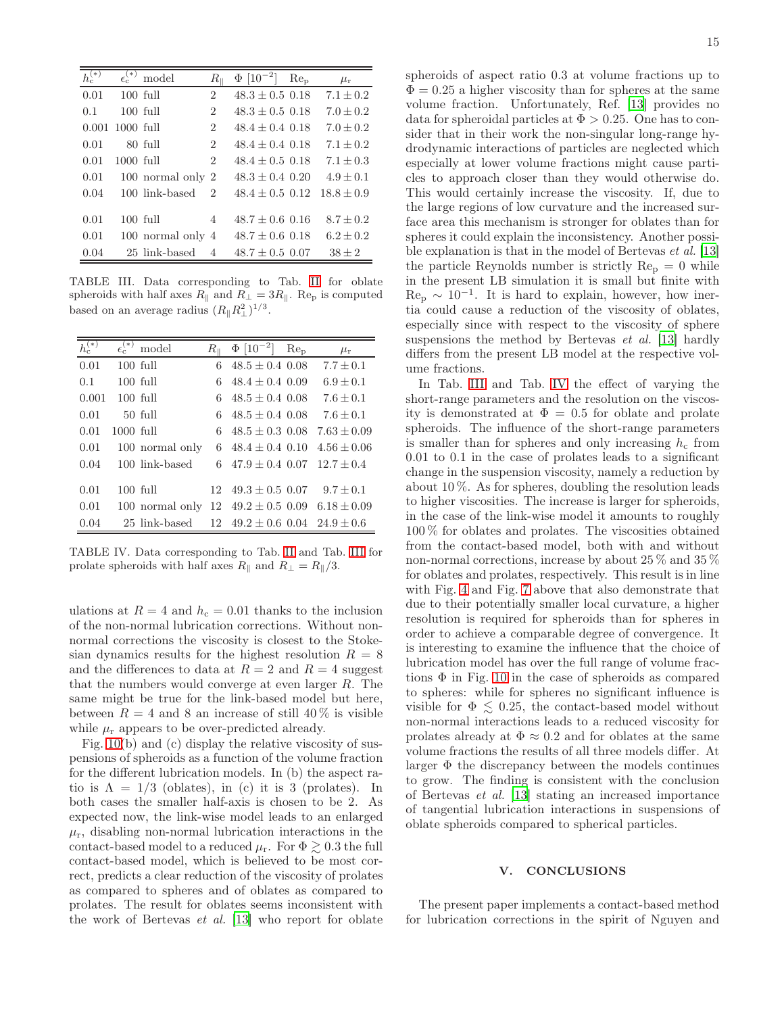| $h_\mathrm{c}^{(*)}$ | $\epsilon_{\rm c}^{(*)}$ | model             | $R_{\scriptscriptstyle\parallel}$ | $\Phi$ [10 <sup>-2</sup> ] | Re <sub>D</sub> | $\mu_{\rm r}$ |
|----------------------|--------------------------|-------------------|-----------------------------------|----------------------------|-----------------|---------------|
| 0.01                 |                          | $100$ full        | 2                                 | $48.3 \pm 0.5$ 0.18        |                 | $7.1 \pm 0.2$ |
| 0.1                  |                          | $100$ full        | 2                                 | $48.3 + 0.5$ 0.18          |                 | $7.0 + 0.2$   |
| 0.001                | $1000$ full              |                   | $\overline{2}$                    | $48.4 + 0.4$ 0.18          |                 | $7.0 \pm 0.2$ |
| 0.01                 |                          | $80$ full         | $\overline{2}$                    | $48.4 + 0.4$ 0.18          |                 | $7.1 + 0.2$   |
| 0.01                 | $1000$ full              |                   | $\overline{2}$                    | $48.4 + 0.5$ 0.18          |                 | $7.1 + 0.3$   |
| 0.01                 |                          | 100 normal only 2 |                                   | $48.3 + 0.4$ 0.20          |                 | $4.9 + 0.1$   |
| 0.04                 |                          | 100 link-based    | $\mathfrak{D}$                    | $48.4 + 0.5$ 0.12          |                 | $18.8 + 0.9$  |
|                      |                          |                   |                                   |                            |                 |               |
| 0.01                 |                          | $100$ full        | 4                                 | $48.7 \pm 0.6$ 0.16        |                 | $8.7 \pm 0.2$ |
| 0.01                 |                          | 100 normal only 4 |                                   | $48.7 \pm 0.6$ 0.18        |                 | $6.2 \pm 0.2$ |
| 0.04                 |                          | 25 link-based     | 4                                 | $48.7 \pm 0.5$ 0.07        |                 | $38 \pm 2$    |

<span id="page-14-1"></span>TABLE III. Data corresponding to Tab. [II](#page-13-1) for oblate spheroids with half axes  $R_{\parallel}$  and  $R_{\perp} = 3R_{\parallel}$ . Re<sub>p</sub> is computed based on an average radius  $(R_{\parallel}R_{\perp}^2)^{1/3}$ .

| $_{1}(*)$ | $\epsilon_{\rm c}^{(*)}$ | model           | $R_{\scriptscriptstyle\rm II}$ | $\Phi$ [10 <sup>-2</sup> ]         | $Re_{p}$ | $\mu_{\rm r}$   |
|-----------|--------------------------|-----------------|--------------------------------|------------------------------------|----------|-----------------|
| 0.01      |                          | $100$ full      | 6                              | $48.5 \pm 0.4$ 0.08                |          | $7.7 \pm 0.1$   |
| 0.1       |                          | $100$ full      | 6                              | $48.4 + 0.4$ 0.09                  |          | $6.9 + 0.1$     |
| 0.001     |                          | $100$ full      | 6                              | $48.5 + 0.4$ 0.08                  |          | $7.6 + 0.1$     |
| 0.01      |                          | $50$ full       | 6                              | $48.5 + 0.4$ 0.08                  |          | $7.6 + 0.1$     |
| 0.01      | $1000$ full              |                 | 6                              | $48.5 + 0.3$ 0.08                  |          | $7.63 \pm 0.09$ |
| 0.01      |                          | 100 normal only | 6                              | $48.4 \pm 0.4$ 0.10                |          | $4.56 \pm 0.06$ |
| 0.04      |                          | 100 link-based  |                                | $47.9 + 0.4$ 0.07                  |          | $12.7 + 0.4$    |
|           |                          |                 |                                |                                    |          |                 |
| 0.01      |                          | $100$ full      | 12.                            | $49.3 \pm 0.5$ 0.07                |          | $9.7 \pm 0.1$   |
| 0.01      |                          | 100 normal only | 12                             | $49.2 \pm 0.5$ 0.09                |          | $6.18 \pm 0.09$ |
| 0.04      |                          | 25 link-based   |                                | $12 \quad 49.2 \pm 0.6 \quad 0.04$ |          | $24.9 \pm 0.6$  |

<span id="page-14-2"></span>TABLE IV. Data corresponding to Tab. [II](#page-13-1) and Tab. [III](#page-14-1) for prolate spheroids with half axes  $R_{\parallel}$  and  $R_{\perp} = R_{\parallel}/3$ .

ulations at  $R = 4$  and  $h_c = 0.01$  thanks to the inclusion of the non-normal lubrication corrections. Without nonnormal corrections the viscosity is closest to the Stokesian dynamics results for the highest resolution  $R = 8$ and the differences to data at  $R = 2$  and  $R = 4$  suggest that the numbers would converge at even larger R. The same might be true for the link-based model but here, between  $R = 4$  and 8 an increase of still 40% is visible while  $\mu_{\rm r}$  appears to be over-predicted already.

Fig. [10\(](#page-13-0)b) and (c) display the relative viscosity of suspensions of spheroids as a function of the volume fraction for the different lubrication models. In (b) the aspect ratio is  $\Lambda = 1/3$  (oblates), in (c) it is 3 (prolates). In both cases the smaller half-axis is chosen to be 2. As expected now, the link-wise model leads to an enlarged  $\mu_{\rm r}$ , disabling non-normal lubrication interactions in the contact-based model to a reduced  $\mu_{\rm r}$ . For  $\Phi \geq 0.3$  the full contact-based model, which is believed to be most correct, predicts a clear reduction of the viscosity of prolates as compared to spheres and of oblates as compared to prolates. The result for oblates seems inconsistent with the work of Bertevas et al. [\[13](#page-18-7)] who report for oblate

spheroids of aspect ratio 0.3 at volume fractions up to  $\Phi = 0.25$  a higher viscosity than for spheres at the same volume fraction. Unfortunately, Ref. [\[13\]](#page-18-7) provides no data for spheroidal particles at  $\Phi > 0.25$ . One has to consider that in their work the non-singular long-range hydrodynamic interactions of particles are neglected which especially at lower volume fractions might cause particles to approach closer than they would otherwise do. This would certainly increase the viscosity. If, due to the large regions of low curvature and the increased surface area this mechanism is stronger for oblates than for spheres it could explain the inconsistency. Another possible explanation is that in the model of Bertevas et al. [\[13](#page-18-7)] the particle Reynolds number is strictly  $Re_p = 0$  while in the present LB simulation it is small but finite with  $\text{Re}_{\text{p}} \sim 10^{-1}$ . It is hard to explain, however, how inertia could cause a reduction of the viscosity of oblates, especially since with respect to the viscosity of sphere suspensions the method by Bertevas et al. [\[13\]](#page-18-7) hardly differs from the present LB model at the respective volume fractions.

In Tab. [III](#page-14-1) and Tab. [IV](#page-14-2) the effect of varying the short-range parameters and the resolution on the viscosity is demonstrated at  $\Phi = 0.5$  for oblate and prolate spheroids. The influence of the short-range parameters is smaller than for spheres and only increasing  $h_c$  from 0.01 to 0.1 in the case of prolates leads to a significant change in the suspension viscosity, namely a reduction by about 10 %. As for spheres, doubling the resolution leads to higher viscosities. The increase is larger for spheroids, in the case of the link-wise model it amounts to roughly 100 % for oblates and prolates. The viscosities obtained from the contact-based model, both with and without non-normal corrections, increase by about 25 % and 35 % for oblates and prolates, respectively. This result is in line with Fig. [4](#page-7-0) and Fig. [7](#page-9-0) above that also demonstrate that due to their potentially smaller local curvature, a higher resolution is required for spheroids than for spheres in order to achieve a comparable degree of convergence. It is interesting to examine the influence that the choice of lubrication model has over the full range of volume fractions  $\Phi$  in Fig. [10](#page-13-0) in the case of spheroids as compared to spheres: while for spheres no significant influence is visible for  $\Phi \leq 0.25$ , the contact-based model without non-normal interactions leads to a reduced viscosity for prolates already at  $\Phi \approx 0.2$  and for oblates at the same volume fractions the results of all three models differ. At larger  $\Phi$  the discrepancy between the models continues to grow. The finding is consistent with the conclusion of Bertevas et al. [\[13\]](#page-18-7) stating an increased importance of tangential lubrication interactions in suspensions of oblate spheroids compared to spherical particles.

### <span id="page-14-0"></span>V. CONCLUSIONS

The present paper implements a contact-based method for lubrication corrections in the spirit of Nguyen and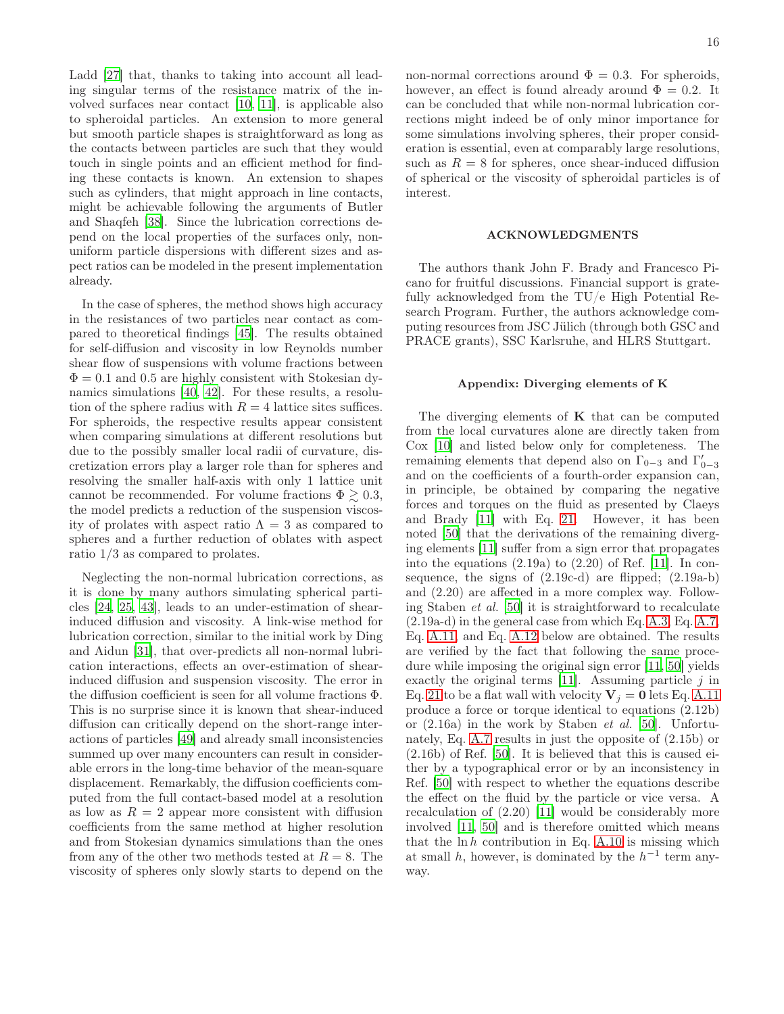Ladd [\[27](#page-18-20)] that, thanks to taking into account all leading singular terms of the resistance matrix of the involved surfaces near contact [\[10](#page-18-4), [11](#page-18-5)], is applicable also to spheroidal particles. An extension to more general but smooth particle shapes is straightforward as long as the contacts between particles are such that they would touch in single points and an efficient method for finding these contacts is known. An extension to shapes such as cylinders, that might approach in line contacts, might be achievable following the arguments of Butler and Shaqfeh [\[38\]](#page-18-31). Since the lubrication corrections depend on the local properties of the surfaces only, nonuniform particle dispersions with different sizes and aspect ratios can be modeled in the present implementation already.

In the case of spheres, the method shows high accuracy in the resistances of two particles near contact as compared to theoretical findings [\[45\]](#page-18-39). The results obtained for self-diffusion and viscosity in low Reynolds number shear flow of suspensions with volume fractions between  $\Phi = 0.1$  and 0.5 are highly consistent with Stokesian dynamics simulations [\[40,](#page-18-34) [42](#page-18-36)]. For these results, a resolution of the sphere radius with  $R = 4$  lattice sites suffices. For spheroids, the respective results appear consistent when comparing simulations at different resolutions but due to the possibly smaller local radii of curvature, discretization errors play a larger role than for spheres and resolving the smaller half-axis with only 1 lattice unit cannot be recommended. For volume fractions  $\Phi \gtrsim 0.3$ , the model predicts a reduction of the suspension viscosity of prolates with aspect ratio  $\Lambda = 3$  as compared to spheres and a further reduction of oblates with aspect ratio 1/3 as compared to prolates.

Neglecting the non-normal lubrication corrections, as it is done by many authors simulating spherical particles [\[24,](#page-18-18) [25](#page-18-32), [43](#page-18-37)], leads to an under-estimation of shearinduced diffusion and viscosity. A link-wise method for lubrication correction, similar to the initial work by Ding and Aidun [\[31\]](#page-18-24), that over-predicts all non-normal lubrication interactions, effects an over-estimation of shearinduced diffusion and suspension viscosity. The error in the diffusion coefficient is seen for all volume fractions Φ. This is no surprise since it is known that shear-induced diffusion can critically depend on the short-range interactions of particles [\[49\]](#page-18-43) and already small inconsistencies summed up over many encounters can result in considerable errors in the long-time behavior of the mean-square displacement. Remarkably, the diffusion coefficients computed from the full contact-based model at a resolution as low as  $R = 2$  appear more consistent with diffusion coefficients from the same method at higher resolution and from Stokesian dynamics simulations than the ones from any of the other two methods tested at  $R = 8$ . The viscosity of spheres only slowly starts to depend on the

non-normal corrections around  $\Phi = 0.3$ . For spheroids, however, an effect is found already around  $\Phi = 0.2$ . It can be concluded that while non-normal lubrication corrections might indeed be of only minor importance for some simulations involving spheres, their proper consideration is essential, even at comparably large resolutions, such as  $R = 8$  for spheres, once shear-induced diffusion of spherical or the viscosity of spheroidal particles is of interest.

#### ACKNOWLEDGMENTS

The authors thank John F. Brady and Francesco Picano for fruitful discussions. Financial support is gratefully acknowledged from the TU/e High Potential Research Program. Further, the authors acknowledge computing resources from JSC Jülich (through both GSC and PRACE grants), SSC Karlsruhe, and HLRS Stuttgart.

### Appendix: Diverging elements of K

The diverging elements of  $K$  that can be computed from the local curvatures alone are directly taken from Cox [\[10\]](#page-18-4) and listed below only for completeness. The remaining elements that depend also on  $\Gamma_{0-3}$  and  $\Gamma'_{0-3}$ and on the coefficients of a fourth-order expansion can, in principle, be obtained by comparing the negative forces and torques on the fluid as presented by Claeys and Brady [\[11](#page-18-5)] with Eq. [21.](#page-5-2) However, it has been noted [\[50\]](#page-18-44) that the derivations of the remaining diverging elements [\[11](#page-18-5)] suffer from a sign error that propagates into the equations  $(2.19a)$  to  $(2.20)$  of Ref. [\[11\]](#page-18-5). In consequence, the signs of (2.19c-d) are flipped; (2.19a-b) and (2.20) are affected in a more complex way. Following Staben et al. [\[50](#page-18-44)] it is straightforward to recalculate (2.19a-d) in the general case from which Eq. [A.3,](#page-16-1) Eq. [A.7,](#page-16-2) Eq. [A.11,](#page-16-3) and Eq. [A.12](#page-16-4) below are obtained. The results are verified by the fact that following the same procedure while imposing the original sign error [\[11](#page-18-5), [50\]](#page-18-44) yields exactly the original terms  $[11]$ . Assuming particle j in Eq. [21](#page-5-2) to be a flat wall with velocity  $V_j = 0$  lets Eq. [A.11](#page-16-3) produce a force or torque identical to equations (2.12b) or (2.16a) in the work by Staben et al. [\[50](#page-18-44)]. Unfortunately, Eq. [A.7](#page-16-2) results in just the opposite of (2.15b) or  $(2.16b)$  of Ref. [\[50\]](#page-18-44). It is believed that this is caused either by a typographical error or by an inconsistency in Ref. [\[50\]](#page-18-44) with respect to whether the equations describe the effect on the fluid by the particle or vice versa. A recalculation of (2.20) [\[11](#page-18-5)] would be considerably more involved [\[11,](#page-18-5) [50\]](#page-18-44) and is therefore omitted which means that the  $\ln h$  contribution in Eq. [A.10](#page-16-5) is missing which at small h, however, is dominated by the  $h^{-1}$  term anyway.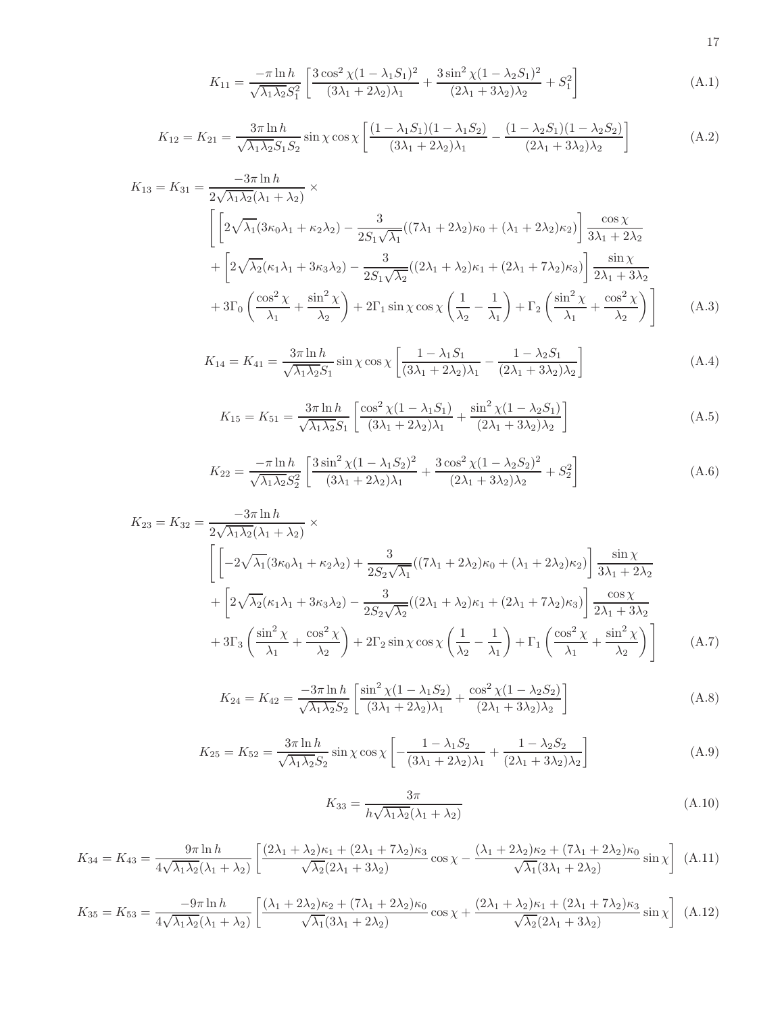<span id="page-16-0"></span>
$$
K_{11} = \frac{-\pi \ln h}{\sqrt{\lambda_1 \lambda_2} S_1^2} \left[ \frac{3 \cos^2 \chi (1 - \lambda_1 S_1)^2}{(3\lambda_1 + 2\lambda_2)\lambda_1} + \frac{3 \sin^2 \chi (1 - \lambda_2 S_1)^2}{(2\lambda_1 + 3\lambda_2)\lambda_2} + S_1^2 \right]
$$
(A.1)

$$
K_{12} = K_{21} = \frac{3\pi \ln h}{\sqrt{\lambda_1 \lambda_2} S_1 S_2} \sin \chi \cos \chi \left[ \frac{(1 - \lambda_1 S_1)(1 - \lambda_1 S_2)}{(3\lambda_1 + 2\lambda_2)\lambda_1} - \frac{(1 - \lambda_2 S_1)(1 - \lambda_2 S_2)}{(2\lambda_1 + 3\lambda_2)\lambda_2} \right]
$$
(A.2)

<span id="page-16-1"></span>
$$
K_{13} = K_{31} = \frac{-3\pi \ln h}{2\sqrt{\lambda_1 \lambda_2} (\lambda_1 + \lambda_2)} \times
$$
  
\n
$$
\left[ 2\sqrt{\lambda_1} (3\kappa_0 \lambda_1 + \kappa_2 \lambda_2) - \frac{3}{2S_1 \sqrt{\lambda_1}} ((7\lambda_1 + 2\lambda_2)\kappa_0 + (\lambda_1 + 2\lambda_2)\kappa_2) \right] \frac{\cos \chi}{3\lambda_1 + 2\lambda_2}
$$
  
\n
$$
+ \left[ 2\sqrt{\lambda_2} (\kappa_1 \lambda_1 + 3\kappa_3 \lambda_2) - \frac{3}{2S_1 \sqrt{\lambda_2}} ((2\lambda_1 + \lambda_2)\kappa_1 + (2\lambda_1 + 7\lambda_2)\kappa_3) \right] \frac{\sin \chi}{2\lambda_1 + 3\lambda_2}
$$
  
\n
$$
+ 3\Gamma_0 \left( \frac{\cos^2 \chi}{\lambda_1} + \frac{\sin^2 \chi}{\lambda_2} \right) + 2\Gamma_1 \sin \chi \cos \chi \left( \frac{1}{\lambda_2} - \frac{1}{\lambda_1} \right) + \Gamma_2 \left( \frac{\sin^2 \chi}{\lambda_1} + \frac{\cos^2 \chi}{\lambda_2} \right) \right]
$$
(A.3)

$$
K_{14} = K_{41} = \frac{3\pi \ln h}{\sqrt{\lambda_1 \lambda_2} S_1} \sin \chi \cos \chi \left[ \frac{1 - \lambda_1 S_1}{(3\lambda_1 + 2\lambda_2)\lambda_1} - \frac{1 - \lambda_2 S_1}{(2\lambda_1 + 3\lambda_2)\lambda_2} \right]
$$
(A.4)

$$
K_{15} = K_{51} = \frac{3\pi \ln h}{\sqrt{\lambda_1 \lambda_2} S_1} \left[ \frac{\cos^2 \chi (1 - \lambda_1 S_1)}{(3\lambda_1 + 2\lambda_2)\lambda_1} + \frac{\sin^2 \chi (1 - \lambda_2 S_1)}{(2\lambda_1 + 3\lambda_2)\lambda_2} \right]
$$
(A.5)

$$
K_{22} = \frac{-\pi \ln h}{\sqrt{\lambda_1 \lambda_2} S_2^2} \left[ \frac{3 \sin^2 \chi (1 - \lambda_1 S_2)^2}{(3\lambda_1 + 2\lambda_2)\lambda_1} + \frac{3 \cos^2 \chi (1 - \lambda_2 S_2)^2}{(2\lambda_1 + 3\lambda_2)\lambda_2} + S_2^2 \right]
$$
(A.6)

<span id="page-16-2"></span>
$$
K_{23} = K_{32} = \frac{-3\pi \ln h}{2\sqrt{\lambda_1 \lambda_2} (\lambda_1 + \lambda_2)} \times
$$
  
\n
$$
\left[ \left[ -2\sqrt{\lambda_1} (3\kappa_0 \lambda_1 + \kappa_2 \lambda_2) + \frac{3}{2S_2 \sqrt{\lambda_1}} ((7\lambda_1 + 2\lambda_2)\kappa_0 + (\lambda_1 + 2\lambda_2)\kappa_2) \right] \frac{\sin \chi}{3\lambda_1 + 2\lambda_2} + \left[ 2\sqrt{\lambda_2} (\kappa_1 \lambda_1 + 3\kappa_3 \lambda_2) - \frac{3}{2S_2 \sqrt{\lambda_2}} ((2\lambda_1 + \lambda_2)\kappa_1 + (2\lambda_1 + 7\lambda_2)\kappa_3) \right] \frac{\cos \chi}{2\lambda_1 + 3\lambda_2} + 3\Gamma_3 \left( \frac{\sin^2 \chi}{\lambda_1} + \frac{\cos^2 \chi}{\lambda_2} \right) + 2\Gamma_2 \sin \chi \cos \chi \left( \frac{1}{\lambda_2} - \frac{1}{\lambda_1} \right) + \Gamma_1 \left( \frac{\cos^2 \chi}{\lambda_1} + \frac{\sin^2 \chi}{\lambda_2} \right) \right]
$$
(A.7)

$$
K_{24} = K_{42} = \frac{-3\pi \ln h}{\sqrt{\lambda_1 \lambda_2 S_2}} \left[ \frac{\sin^2 \chi (1 - \lambda_1 S_2)}{(3\lambda_1 + 2\lambda_2)\lambda_1} + \frac{\cos^2 \chi (1 - \lambda_2 S_2)}{(2\lambda_1 + 3\lambda_2)\lambda_2} \right]
$$
(A.8)

$$
K_{25} = K_{52} = \frac{3\pi \ln h}{\sqrt{\lambda_1 \lambda_2 S_2}} \sin \chi \cos \chi \left[ -\frac{1 - \lambda_1 S_2}{(3\lambda_1 + 2\lambda_2)\lambda_1} + \frac{1 - \lambda_2 S_2}{(2\lambda_1 + 3\lambda_2)\lambda_2} \right]
$$
(A.9)

<span id="page-16-5"></span>
$$
K_{33} = \frac{3\pi}{h\sqrt{\lambda_1\lambda_2}(\lambda_1 + \lambda_2)}\tag{A.10}
$$

<span id="page-16-3"></span>
$$
K_{34} = K_{43} = \frac{9\pi \ln h}{4\sqrt{\lambda_1 \lambda_2} (\lambda_1 + \lambda_2)} \left[ \frac{(2\lambda_1 + \lambda_2)\kappa_1 + (2\lambda_1 + 7\lambda_2)\kappa_3}{\sqrt{\lambda_2} (2\lambda_1 + 3\lambda_2)} \cos \chi - \frac{(\lambda_1 + 2\lambda_2)\kappa_2 + (7\lambda_1 + 2\lambda_2)\kappa_0}{\sqrt{\lambda_1} (3\lambda_1 + 2\lambda_2)} \sin \chi \right]
$$
(A.11)

<span id="page-16-4"></span>
$$
K_{35} = K_{53} = \frac{-9\pi \ln h}{4\sqrt{\lambda_1 \lambda_2} (\lambda_1 + \lambda_2)} \left[ \frac{(\lambda_1 + 2\lambda_2)\kappa_2 + (7\lambda_1 + 2\lambda_2)\kappa_0}{\sqrt{\lambda_1} (3\lambda_1 + 2\lambda_2)} \cos \chi + \frac{(2\lambda_1 + \lambda_2)\kappa_1 + (2\lambda_1 + 7\lambda_2)\kappa_3}{\sqrt{\lambda_2} (2\lambda_1 + 3\lambda_2)} \sin \chi \right]
$$
(A.12)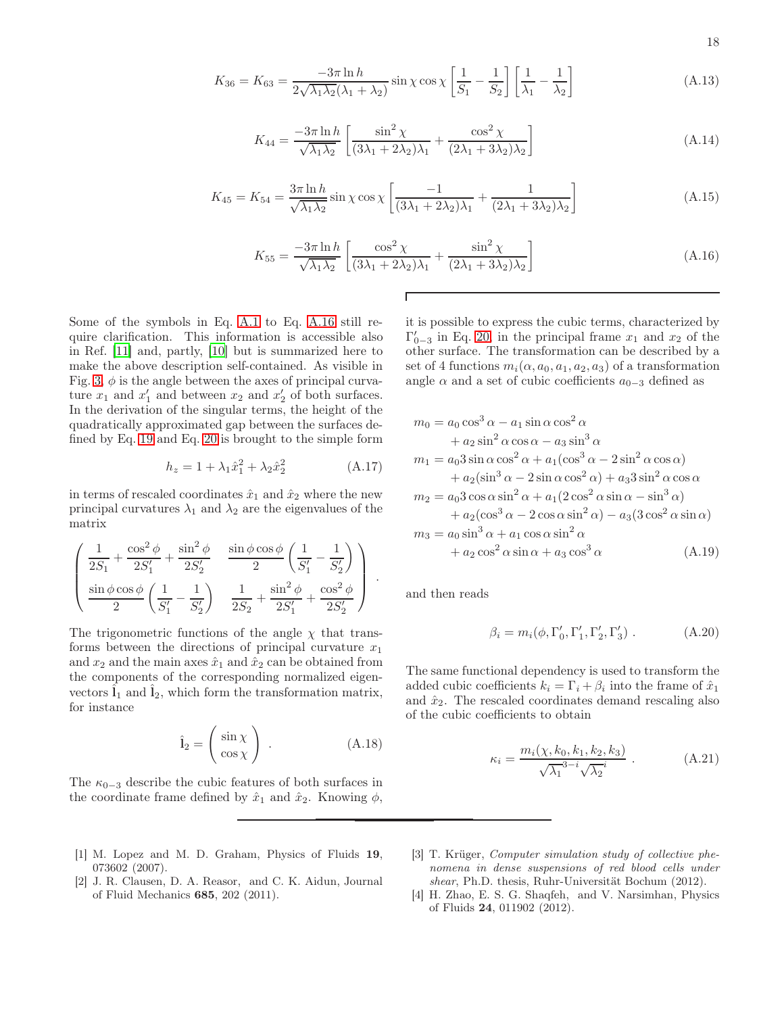$$
18 \\
$$

$$
K_{36} = K_{63} = \frac{-3\pi \ln h}{2\sqrt{\lambda_1 \lambda_2} (\lambda_1 + \lambda_2)} \sin \chi \cos \chi \left[ \frac{1}{S_1} - \frac{1}{S_2} \right] \left[ \frac{1}{\lambda_1} - \frac{1}{\lambda_2} \right]
$$
(A.13)

$$
K_{44} = \frac{-3\pi \ln h}{\sqrt{\lambda_1 \lambda_2}} \left[ \frac{\sin^2 \chi}{(3\lambda_1 + 2\lambda_2)\lambda_1} + \frac{\cos^2 \chi}{(2\lambda_1 + 3\lambda_2)\lambda_2} \right]
$$
(A.14)

$$
K_{45} = K_{54} = \frac{3\pi \ln h}{\sqrt{\lambda_1 \lambda_2}} \sin \chi \cos \chi \left[ \frac{-1}{(3\lambda_1 + 2\lambda_2)\lambda_1} + \frac{1}{(2\lambda_1 + 3\lambda_2)\lambda_2} \right]
$$
(A.15)

 $\Gamma$ 

<span id="page-17-2"></span>
$$
K_{55} = \frac{-3\pi \ln h}{\sqrt{\lambda_1 \lambda_2}} \left[ \frac{\cos^2 \chi}{(3\lambda_1 + 2\lambda_2)\lambda_1} + \frac{\sin^2 \chi}{(2\lambda_1 + 3\lambda_2)\lambda_2} \right]
$$
(A.16)

Some of the symbols in Eq. [A.1](#page-16-0) to Eq. [A.16](#page-17-2) still require clarification. This information is accessible also in Ref. [\[11\]](#page-18-5) and, partly, [\[10\]](#page-18-4) but is summarized here to make the above description self-contained. As visible in Fig. [3,](#page-5-0)  $\phi$  is the angle between the axes of principal curvature  $x_1$  and  $x'_1$  and between  $x_2$  and  $x'_2$  of both surfaces. In the derivation of the singular terms, the height of the quadratically approximated gap between the surfaces defined by Eq. [19](#page-4-1) and Eq. [20](#page-4-2) is brought to the simple form

$$
h_z = 1 + \lambda_1 \hat{x}_1^2 + \lambda_2 \hat{x}_2^2 \tag{A.17}
$$

in terms of rescaled coordinates  $\hat{x}_1$  and  $\hat{x}_2$  where the new principal curvatures  $\lambda_1$  and  $\lambda_2$  are the eigenvalues of the matrix

$$
\left(\begin{array}{ccc} \frac{1}{2S_1}+\frac{\cos^2\phi}{2S'_1}+\frac{\sin^2\phi}{2S'_2} & \frac{\sin\phi\cos\phi}{2}\left(\frac{1}{S'_1}-\frac{1}{S'_2}\right) \\[1em] \frac{\sin\phi\cos\phi}{2}\left(\frac{1}{S'_1}-\frac{1}{S'_2}\right) & \frac{1}{2S_2}+\frac{\sin^2\phi}{2S'_1}+\frac{\cos^2\phi}{2S'_2} \end{array}\right)
$$

The trigonometric functions of the angle  $\chi$  that transforms between the directions of principal curvature  $x_1$ and  $x_2$  and the main axes  $\hat{x}_1$  and  $\hat{x}_2$  can be obtained from the components of the corresponding normalized eigenvectors  $l_1$  and  $l_2$ , which form the transformation matrix, for instance

$$
\hat{\mathbf{l}}_2 = \begin{pmatrix} \sin \chi \\ \cos \chi \end{pmatrix} . \tag{A.18}
$$

The  $\kappa_{0-3}$  describe the cubic features of both surfaces in the coordinate frame defined by  $\hat{x}_1$  and  $\hat{x}_2$ . Knowing  $\phi$ ,

- <span id="page-17-0"></span>[1] M. Lopez and M. D. Graham, Physics of Fluids 19, 073602 (2007).
- <span id="page-17-1"></span>[2] J. R. Clausen, D. A. Reasor, and C. K. Aidun, Journal of Fluid Mechanics 685, 202 (2011).

it is possible to express the cubic terms, characterized by  $\Gamma'_{0-3}$  in Eq. [20,](#page-4-2) in the principal frame  $x_1$  and  $x_2$  of the other surface. The transformation can be described by a set of 4 functions  $m_i(\alpha, a_0, a_1, a_2, a_3)$  of a transformation angle  $\alpha$  and a set of cubic coefficients  $a_{0-3}$  defined as

$$
m_0 = a_0 \cos^3 \alpha - a_1 \sin \alpha \cos^2 \alpha
$$
  
+  $a_2 \sin^2 \alpha \cos \alpha - a_3 \sin^3 \alpha$   

$$
m_1 = a_0 3 \sin \alpha \cos^2 \alpha + a_1(\cos^3 \alpha - 2 \sin^2 \alpha \cos \alpha)
$$
  
+  $a_2(\sin^3 \alpha - 2 \sin \alpha \cos^2 \alpha) + a_3 3 \sin^2 \alpha \cos \alpha$   

$$
m_2 = a_0 3 \cos \alpha \sin^2 \alpha + a_1(2 \cos^2 \alpha \sin \alpha - \sin^3 \alpha)
$$
  
+  $a_2(\cos^3 \alpha - 2 \cos \alpha \sin^2 \alpha) - a_3(3 \cos^2 \alpha \sin \alpha)$   

$$
m_3 = a_0 \sin^3 \alpha + a_1 \cos \alpha \sin^2 \alpha
$$
  
+  $a_2 \cos^2 \alpha \sin \alpha + a_3 \cos^3 \alpha$  (A.19)

and then reads

.

$$
\beta_i = m_i(\phi, \Gamma'_0, \Gamma'_1, \Gamma'_2, \Gamma'_3) . \tag{A.20}
$$

The same functional dependency is used to transform the added cubic coefficients  $k_i = \Gamma_i + \beta_i$  into the frame of  $\hat{x}_1$ and  $\hat{x}_2$ . The rescaled coordinates demand rescaling also of the cubic coefficients to obtain

$$
\kappa_i = \frac{m_i(\chi, k_0, k_1, k_2, k_3)}{\sqrt{\lambda_1}^{3-i} \sqrt{\lambda_2}^i} .
$$
 (A.21)

- <span id="page-17-3"></span>[3] T. Krüger, Computer simulation study of collective phenomena in dense suspensions of red blood cells under shear, Ph.D. thesis, Ruhr-Universität Bochum (2012).
- [4] H. Zhao, E. S. G. Shaqfeh, and V. Narsimhan, Physics of Fluids 24, 011902 (2012).